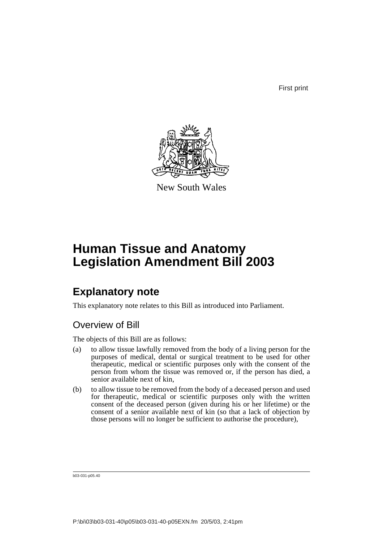First print



New South Wales

# **Human Tissue and Anatomy Legislation Amendment Bill 2003**

# **Explanatory note**

This explanatory note relates to this Bill as introduced into Parliament.

# Overview of Bill

The objects of this Bill are as follows:

- (a) to allow tissue lawfully removed from the body of a living person for the purposes of medical, dental or surgical treatment to be used for other therapeutic, medical or scientific purposes only with the consent of the person from whom the tissue was removed or, if the person has died, a senior available next of kin,
- (b) to allow tissue to be removed from the body of a deceased person and used for therapeutic, medical or scientific purposes only with the written consent of the deceased person (given during his or her lifetime) or the consent of a senior available next of kin (so that a lack of objection by those persons will no longer be sufficient to authorise the procedure),

b03-031-p05.40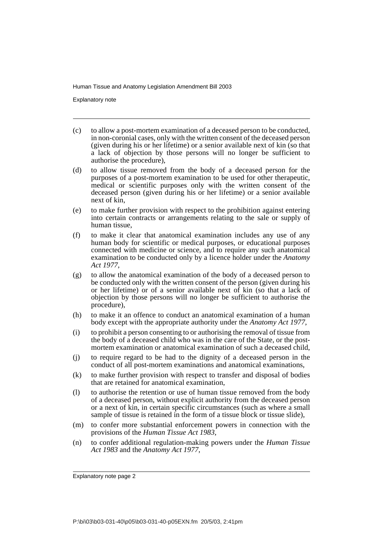Explanatory note

- (c) to allow a post-mortem examination of a deceased person to be conducted, in non-coronial cases, only with the written consent of the deceased person (given during his or her lifetime) or a senior available next of kin (so that a lack of objection by those persons will no longer be sufficient to authorise the procedure),
- (d) to allow tissue removed from the body of a deceased person for the purposes of a post-mortem examination to be used for other therapeutic, medical or scientific purposes only with the written consent of the deceased person (given during his or her lifetime) or a senior available next of kin,
- (e) to make further provision with respect to the prohibition against entering into certain contracts or arrangements relating to the sale or supply of human tissue,
- (f) to make it clear that anatomical examination includes any use of any human body for scientific or medical purposes, or educational purposes connected with medicine or science, and to require any such anatomical examination to be conducted only by a licence holder under the *Anatomy Act 1977*,
- (g) to allow the anatomical examination of the body of a deceased person to be conducted only with the written consent of the person (given during his or her lifetime) or of a senior available next of kin (so that a lack of objection by those persons will no longer be sufficient to authorise the procedure),
- (h) to make it an offence to conduct an anatomical examination of a human body except with the appropriate authority under the *Anatomy Act 1977*,
- (i) to prohibit a person consenting to or authorising the removal of tissue from the body of a deceased child who was in the care of the State, or the postmortem examination or anatomical examination of such a deceased child,
- (j) to require regard to be had to the dignity of a deceased person in the conduct of all post-mortem examinations and anatomical examinations,
- (k) to make further provision with respect to transfer and disposal of bodies that are retained for anatomical examination,
- (l) to authorise the retention or use of human tissue removed from the body of a deceased person, without explicit authority from the deceased person or a next of kin, in certain specific circumstances (such as where a small sample of tissue is retained in the form of a tissue block or tissue slide),
- (m) to confer more substantial enforcement powers in connection with the provisions of the *Human Tissue Act 1983*,
- (n) to confer additional regulation-making powers under the *Human Tissue Act 1983* and the *Anatomy Act 1977*,

Explanatory note page 2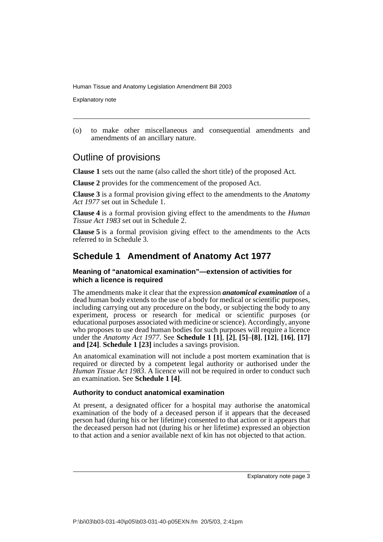Explanatory note

(o) to make other miscellaneous and consequential amendments and amendments of an ancillary nature.

## Outline of provisions

**Clause 1** sets out the name (also called the short title) of the proposed Act.

**Clause 2** provides for the commencement of the proposed Act.

**Clause 3** is a formal provision giving effect to the amendments to the *Anatomy Act 1977* set out in Schedule 1.

**Clause 4** is a formal provision giving effect to the amendments to the *Human Tissue Act 1983* set out in Schedule 2.

**Clause 5** is a formal provision giving effect to the amendments to the Acts referred to in Schedule 3.

# **Schedule 1 Amendment of Anatomy Act 1977**

#### **Meaning of "anatomical examination"—extension of activities for which a licence is required**

The amendments make it clear that the expression *anatomical examination* of a dead human body extends to the use of a body for medical or scientific purposes, including carrying out any procedure on the body, or subjecting the body to any experiment, process or research for medical or scientific purposes (or educational purposes associated with medicine or science). Accordingly, anyone who proposes to use dead human bodies for such purposes will require a licence under the *Anatomy Act 1977*. See **Schedule 1 [1]**, **[2]**, **[5]**–**[8]**, **[12]**, **[16]**, **[17] and [24]**. **Schedule 1 [23]** includes a savings provision.

An anatomical examination will not include a post mortem examination that is required or directed by a competent legal authority or authorised under the *Human Tissue Act 1983*. A licence will not be required in order to conduct such an examination. See **Schedule 1 [4]**.

#### **Authority to conduct anatomical examination**

At present, a designated officer for a hospital may authorise the anatomical examination of the body of a deceased person if it appears that the deceased person had (during his or her lifetime) consented to that action or it appears that the deceased person had not (during his or her lifetime) expressed an objection to that action and a senior available next of kin has not objected to that action.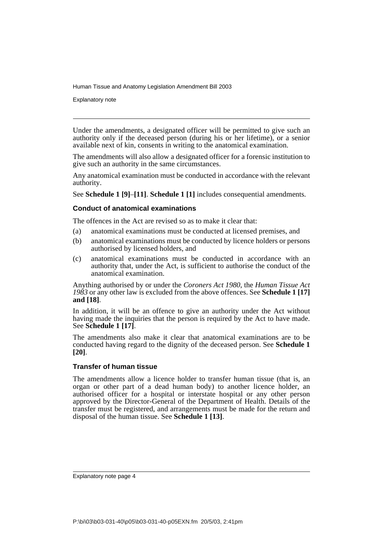Explanatory note

Under the amendments, a designated officer will be permitted to give such an authority only if the deceased person (during his or her lifetime), or a senior available next of kin, consents in writing to the anatomical examination.

The amendments will also allow a designated officer for a forensic institution to give such an authority in the same circumstances.

Any anatomical examination must be conducted in accordance with the relevant authority.

See **Schedule 1 [9]**–**[11]**. **Schedule 1 [1]** includes consequential amendments.

### **Conduct of anatomical examinations**

The offences in the Act are revised so as to make it clear that:

- (a) anatomical examinations must be conducted at licensed premises, and
- (b) anatomical examinations must be conducted by licence holders or persons authorised by licensed holders, and
- (c) anatomical examinations must be conducted in accordance with an authority that, under the Act, is sufficient to authorise the conduct of the anatomical examination.

Anything authorised by or under the *Coroners Act 1980*, the *Human Tissue Act 1983* or any other law is excluded from the above offences. See **Schedule 1 [17] and [18]**.

In addition, it will be an offence to give an authority under the Act without having made the inquiries that the person is required by the Act to have made. See **Schedule 1 [17]**.

The amendments also make it clear that anatomical examinations are to be conducted having regard to the dignity of the deceased person. See **Schedule 1 [20]**.

### **Transfer of human tissue**

The amendments allow a licence holder to transfer human tissue (that is, an organ or other part of a dead human body) to another licence holder, an authorised officer for a hospital or interstate hospital or any other person approved by the Director-General of the Department of Health. Details of the transfer must be registered, and arrangements must be made for the return and disposal of the human tissue. See **Schedule 1 [13]**.

Explanatory note page 4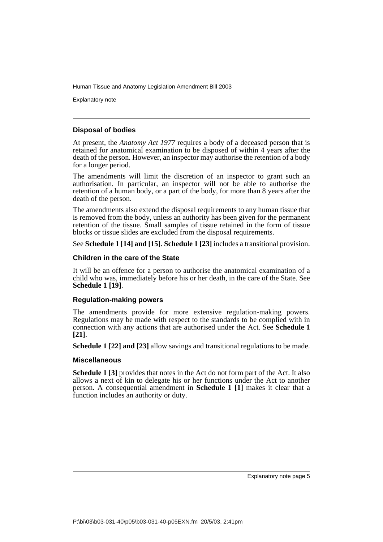Explanatory note

#### **Disposal of bodies**

At present, the *Anatomy Act 1977* requires a body of a deceased person that is retained for anatomical examination to be disposed of within 4 years after the death of the person. However, an inspector may authorise the retention of a body for a longer period.

The amendments will limit the discretion of an inspector to grant such an authorisation. In particular, an inspector will not be able to authorise the retention of a human body, or a part of the body, for more than 8 years after the death of the person.

The amendments also extend the disposal requirements to any human tissue that is removed from the body, unless an authority has been given for the permanent retention of the tissue. Small samples of tissue retained in the form of tissue blocks or tissue slides are excluded from the disposal requirements.

See **Schedule 1 [14] and [15]**. **Schedule 1 [23]** includes a transitional provision.

#### **Children in the care of the State**

It will be an offence for a person to authorise the anatomical examination of a child who was, immediately before his or her death, in the care of the State. See **Schedule 1 [19]**.

#### **Regulation-making powers**

The amendments provide for more extensive regulation-making powers. Regulations may be made with respect to the standards to be complied with in connection with any actions that are authorised under the Act. See **Schedule 1 [21]**.

**Schedule 1 [22] and [23]** allow savings and transitional regulations to be made.

#### **Miscellaneous**

**Schedule 1 [3]** provides that notes in the Act do not form part of the Act. It also allows a next of kin to delegate his or her functions under the Act to another person. A consequential amendment in **Schedule 1 [1]** makes it clear that a function includes an authority or duty.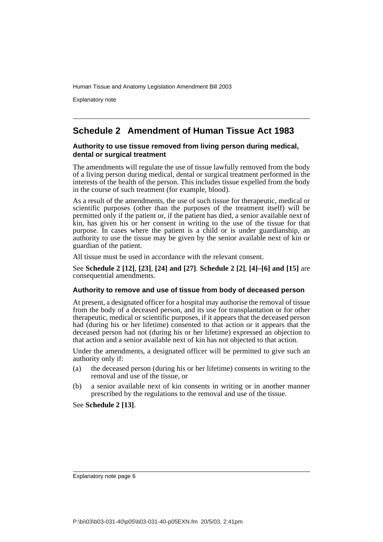Explanatory note

## **Schedule 2 Amendment of Human Tissue Act 1983**

#### **Authority to use tissue removed from living person during medical, dental or surgical treatment**

The amendments will regulate the use of tissue lawfully removed from the body of a living person during medical, dental or surgical treatment performed in the interests of the health of the person. This includes tissue expelled from the body in the course of such treatment (for example, blood).

As a result of the amendments, the use of such tissue for therapeutic, medical or scientific purposes (other than the purposes of the treatment itself) will be permitted only if the patient or, if the patient has died, a senior available next of kin, has given his or her consent in writing to the use of the tissue for that purpose. In cases where the patient is a child or is under guardianship, an authority to use the tissue may be given by the senior available next of kin or guardian of the patient.

All tissue must be used in accordance with the relevant consent.

See **Schedule 2 [12]**, **[23]**, **[24] and [27]**. **Schedule 2 [2]**, **[4]–[6] and [15]** are consequential amendments.

#### **Authority to remove and use of tissue from body of deceased person**

At present, a designated officer for a hospital may authorise the removal of tissue from the body of a deceased person, and its use for transplantation or for other therapeutic, medical or scientific purposes, if it appears that the deceased person had (during his or her lifetime) consented to that action or it appears that the deceased person had not (during his or her lifetime) expressed an objection to that action and a senior available next of kin has not objected to that action.

Under the amendments, a designated officer will be permitted to give such an authority only if:

- (a) the deceased person (during his or her lifetime) consents in writing to the removal and use of the tissue, or
- (b) a senior available next of kin consents in writing or in another manner prescribed by the regulations to the removal and use of the tissue.

See **Schedule 2 [13]**.

Explanatory note page 6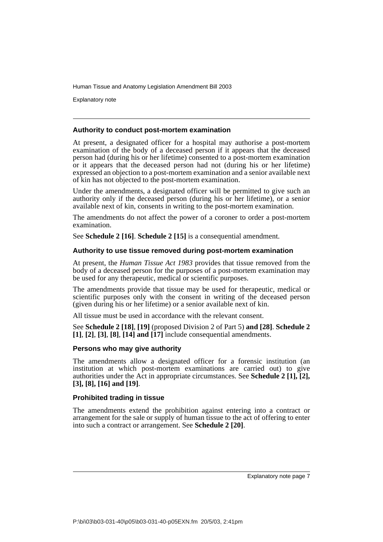Explanatory note

#### **Authority to conduct post-mortem examination**

At present, a designated officer for a hospital may authorise a post-mortem examination of the body of a deceased person if it appears that the deceased person had (during his or her lifetime) consented to a post-mortem examination or it appears that the deceased person had not (during his or her lifetime) expressed an objection to a post-mortem examination and a senior available next of kin has not objected to the post-mortem examination.

Under the amendments, a designated officer will be permitted to give such an authority only if the deceased person (during his or her lifetime), or a senior available next of kin, consents in writing to the post-mortem examination.

The amendments do not affect the power of a coroner to order a post-mortem examination.

See **Schedule 2 [16]**. **Schedule 2 [15]** is a consequential amendment.

#### **Authority to use tissue removed during post-mortem examination**

At present, the *Human Tissue Act 1983* provides that tissue removed from the body of a deceased person for the purposes of a post-mortem examination may be used for any therapeutic, medical or scientific purposes.

The amendments provide that tissue may be used for therapeutic, medical or scientific purposes only with the consent in writing of the deceased person (given during his or her lifetime) or a senior available next of kin.

All tissue must be used in accordance with the relevant consent.

See **Schedule 2 [18]**, **[19]** (proposed Division 2 of Part 5) **and [28]**. **Schedule 2 [1]**, **[2]**, **[3]**, **[8]**, **[14] and [17]** include consequential amendments.

#### **Persons who may give authority**

The amendments allow a designated officer for a forensic institution (an institution at which post-mortem examinations are carried out) to give authorities under the Act in appropriate circumstances. See **Schedule 2 [1], [2], [3], [8], [16] and [19]**.

#### **Prohibited trading in tissue**

The amendments extend the prohibition against entering into a contract or arrangement for the sale or supply of human tissue to the act of offering to enter into such a contract or arrangement. See **Schedule 2 [20]**.

Explanatory note page 7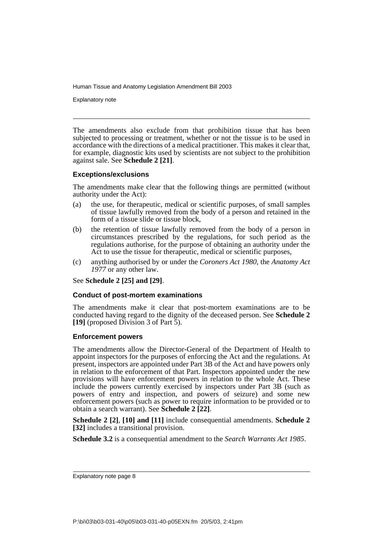Explanatory note

The amendments also exclude from that prohibition tissue that has been subjected to processing or treatment, whether or not the tissue is to be used in accordance with the directions of a medical practitioner. This makes it clear that, for example, diagnostic kits used by scientists are not subject to the prohibition against sale. See **Schedule 2 [21]**.

#### **Exceptions/exclusions**

The amendments make clear that the following things are permitted (without authority under the Act):

- (a) the use, for therapeutic, medical or scientific purposes, of small samples of tissue lawfully removed from the body of a person and retained in the form of a tissue slide or tissue block,
- (b) the retention of tissue lawfully removed from the body of a person in circumstances prescribed by the regulations, for such period as the regulations authorise, for the purpose of obtaining an authority under the Act to use the tissue for therapeutic, medical or scientific purposes,
- (c) anything authorised by or under the *Coroners Act 1980*, the *Anatomy Act 1977* or any other law.

See **Schedule 2 [25] and [29]**.

#### **Conduct of post-mortem examinations**

The amendments make it clear that post-mortem examinations are to be conducted having regard to the dignity of the deceased person. See **Schedule 2 [19]** (proposed Division 3 of Part 5).

#### **Enforcement powers**

The amendments allow the Director-General of the Department of Health to appoint inspectors for the purposes of enforcing the Act and the regulations. At present, inspectors are appointed under Part 3B of the Act and have powers only in relation to the enforcement of that Part. Inspectors appointed under the new provisions will have enforcement powers in relation to the whole Act. These include the powers currently exercised by inspectors under Part 3B (such as powers of entry and inspection, and powers of seizure) and some new enforcement powers (such as power to require information to be provided or to obtain a search warrant). See **Schedule 2 [22]**.

**Schedule 2 [2]**, **[10] and [11]** include consequential amendments. **Schedule 2 [32]** includes a transitional provision.

**Schedule 3.2** is a consequential amendment to the *Search Warrants Act 1985*.

Explanatory note page 8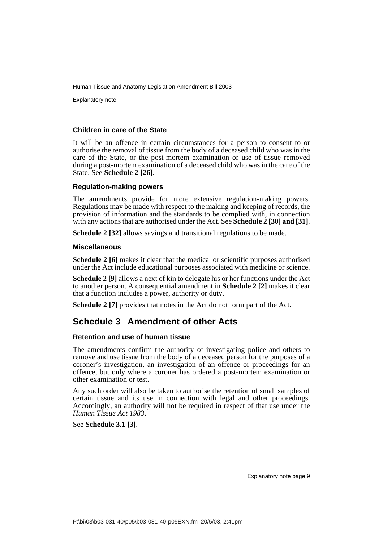Explanatory note

#### **Children in care of the State**

It will be an offence in certain circumstances for a person to consent to or authorise the removal of tissue from the body of a deceased child who was in the care of the State, or the post-mortem examination or use of tissue removed during a post-mortem examination of a deceased child who was in the care of the State. See **Schedule 2 [26]**.

#### **Regulation-making powers**

The amendments provide for more extensive regulation-making powers. Regulations may be made with respect to the making and keeping of records, the provision of information and the standards to be complied with, in connection with any actions that are authorised under the Act. See **Schedule 2** [30] and [31].

**Schedule 2 [32]** allows savings and transitional regulations to be made.

#### **Miscellaneous**

**Schedule 2 [6]** makes it clear that the medical or scientific purposes authorised under the Act include educational purposes associated with medicine or science.

**Schedule 2 [9]** allows a next of kin to delegate his or her functions under the Act to another person. A consequential amendment in **Schedule 2 [2]** makes it clear that a function includes a power, authority or duty.

**Schedule 2 [7]** provides that notes in the Act do not form part of the Act.

# **Schedule 3 Amendment of other Acts**

#### **Retention and use of human tissue**

The amendments confirm the authority of investigating police and others to remove and use tissue from the body of a deceased person for the purposes of a coroner's investigation, an investigation of an offence or proceedings for an offence, but only where a coroner has ordered a post-mortem examination or other examination or test.

Any such order will also be taken to authorise the retention of small samples of certain tissue and its use in connection with legal and other proceedings. Accordingly, an authority will not be required in respect of that use under the *Human Tissue Act 1983*.

See **Schedule 3.1 [3]**.

Explanatory note page 9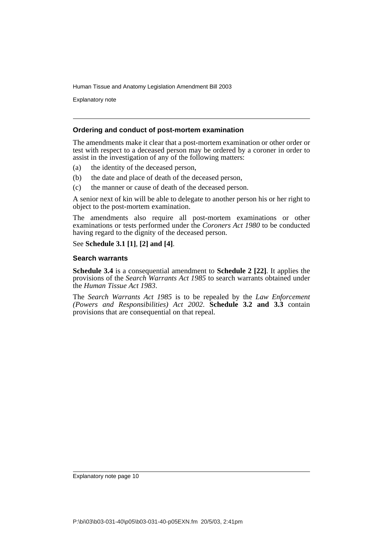Explanatory note

#### **Ordering and conduct of post-mortem examination**

The amendments make it clear that a post-mortem examination or other order or test with respect to a deceased person may be ordered by a coroner in order to assist in the investigation of any of the following matters:

- (a) the identity of the deceased person,
- (b) the date and place of death of the deceased person,
- (c) the manner or cause of death of the deceased person.

A senior next of kin will be able to delegate to another person his or her right to object to the post-mortem examination.

The amendments also require all post-mortem examinations or other examinations or tests performed under the *Coroners Act 1980* to be conducted having regard to the dignity of the deceased person.

See **Schedule 3.1 [1]**, **[2] and [4]**.

#### **Search warrants**

**Schedule 3.4** is a consequential amendment to **Schedule 2 [22]**. It applies the provisions of the *Search Warrants Act 1985* to search warrants obtained under the *Human Tissue Act 1983*.

The *Search Warrants Act 1985* is to be repealed by the *Law Enforcement (Powers and Responsibilities) Act 2002*. **Schedule 3.2 and 3.3** contain provisions that are consequential on that repeal.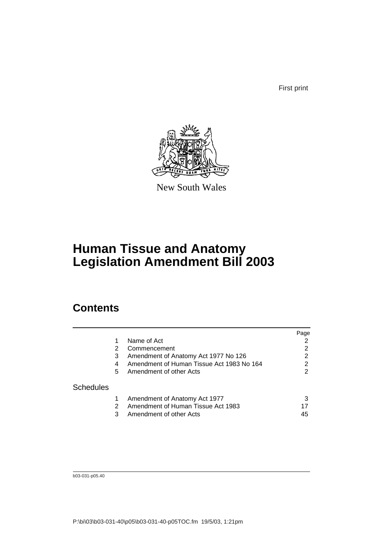First print



New South Wales

# **Human Tissue and Anatomy Legislation Amendment Bill 2003**

# **Contents**

|                  |                                                | Page |
|------------------|------------------------------------------------|------|
|                  | Name of Act                                    |      |
|                  | Commencement<br>2                              |      |
|                  | Amendment of Anatomy Act 1977 No 126<br>3      | 2    |
|                  | Amendment of Human Tissue Act 1983 No 164<br>4 | 2    |
|                  | Amendment of other Acts<br>5.                  |      |
| <b>Schedules</b> |                                                |      |
|                  | Amendment of Anatomy Act 1977                  |      |
|                  | Amendment of Human Tissue Act 1983<br>2        |      |
|                  | Amendment of other Acts<br>3                   | 45   |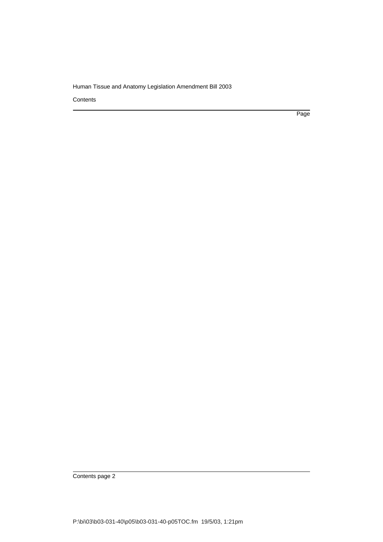**Contents** 

Page

Contents page 2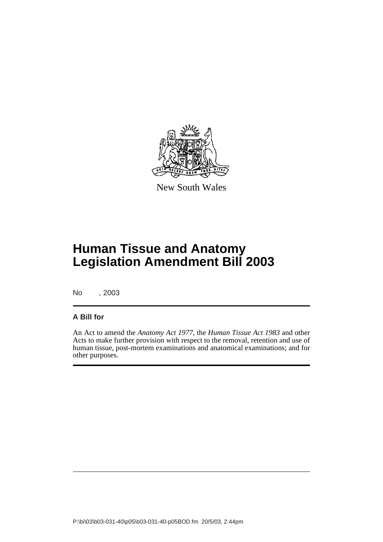

New South Wales

# **Human Tissue and Anatomy Legislation Amendment Bill 2003**

No , 2003

### **A Bill for**

An Act to amend the *Anatomy Act 1977*, the *Human Tissue Act 1983* and other Acts to make further provision with respect to the removal, retention and use of human tissue, post-mortem examinations and anatomical examinations; and for other purposes.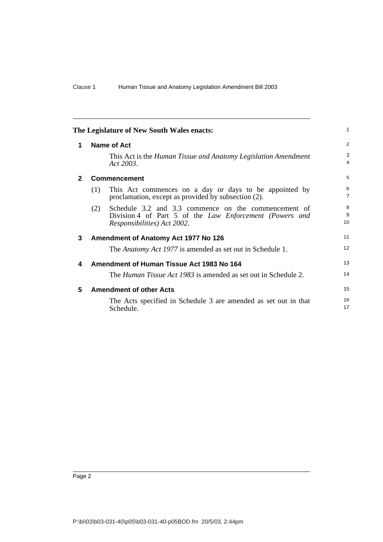<span id="page-13-4"></span><span id="page-13-3"></span><span id="page-13-2"></span><span id="page-13-1"></span><span id="page-13-0"></span>

|              | The Legislature of New South Wales enacts:                                                                                                            | 1                   |  |  |  |  |  |
|--------------|-------------------------------------------------------------------------------------------------------------------------------------------------------|---------------------|--|--|--|--|--|
| 1            | Name of Act                                                                                                                                           |                     |  |  |  |  |  |
|              | This Act is the Human Tissue and Anatomy Legislation Amendment<br>Act 2003.                                                                           | 3<br>4              |  |  |  |  |  |
| $\mathbf{2}$ | <b>Commencement</b>                                                                                                                                   | 5                   |  |  |  |  |  |
|              | This Act commences on a day or days to be appointed by<br>(1)<br>proclamation, except as provided by subsection (2).                                  | 6<br>$\overline{7}$ |  |  |  |  |  |
|              | Schedule 3.2 and 3.3 commence on the commencement of<br>(2)<br>Division 4 of Part 5 of the Law Enforcement (Powers and<br>Responsibilities) Act 2002. | 8<br>9<br>10        |  |  |  |  |  |
| 3            | Amendment of Anatomy Act 1977 No 126                                                                                                                  | 11                  |  |  |  |  |  |
|              | The <i>Anatomy Act 1977</i> is amended as set out in Schedule 1.                                                                                      | 12                  |  |  |  |  |  |
| 4            | Amendment of Human Tissue Act 1983 No 164                                                                                                             | 13                  |  |  |  |  |  |
|              | The <i>Human Tissue Act 1983</i> is amended as set out in Schedule 2.                                                                                 | 14                  |  |  |  |  |  |
| 5            | <b>Amendment of other Acts</b>                                                                                                                        | 15                  |  |  |  |  |  |
|              | The Acts specified in Schedule 3 are amended as set out in that<br>Schedule.                                                                          | 16<br>17            |  |  |  |  |  |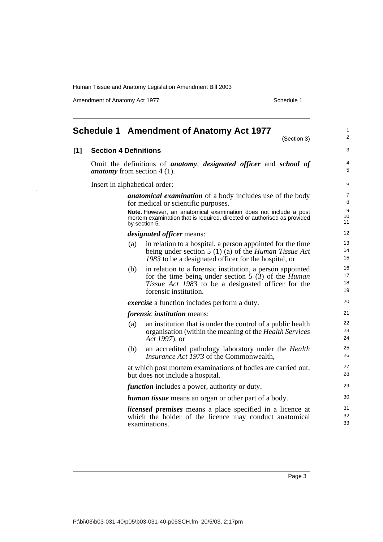Amendment of Anatomy Act 1977 **Schedule 1** Schedule 1

i,

<span id="page-14-0"></span>

|     |                              |     | <b>Schedule 1 Amendment of Anatomy Act 1977</b><br>(Section 3)                                                                                                                                          | 1<br>$\overline{2}$  |
|-----|------------------------------|-----|---------------------------------------------------------------------------------------------------------------------------------------------------------------------------------------------------------|----------------------|
| [1] | <b>Section 4 Definitions</b> |     |                                                                                                                                                                                                         | 3                    |
|     |                              |     | Omit the definitions of <i>anatomy</i> , <i>designated officer</i> and <i>school of</i><br><i>anatomy</i> from section $4(1)$ .                                                                         | 4<br>5               |
|     |                              |     | Insert in alphabetical order:                                                                                                                                                                           | 6                    |
|     |                              |     | <i>anatomical examination</i> of a body includes use of the body<br>for medical or scientific purposes.<br>Note. However, an anatomical examination does not include a post                             | 7<br>8<br>9          |
|     |                              |     | mortem examination that is required, directed or authorised as provided<br>by section 5.                                                                                                                | 10<br>11             |
|     |                              |     | <i>designated officer means:</i>                                                                                                                                                                        | 12                   |
|     |                              | (a) | in relation to a hospital, a person appointed for the time<br>being under section $5(1)(a)$ of the <i>Human Tissue Act</i><br>1983 to be a designated officer for the hospital, or                      | 13<br>14<br>15       |
|     |                              | (b) | in relation to a forensic institution, a person appointed<br>for the time being under section $5(3)$ of the <i>Human</i><br>Tissue Act 1983 to be a designated officer for the<br>forensic institution. | 16<br>17<br>18<br>19 |
|     |                              |     | exercise a function includes perform a duty.                                                                                                                                                            | 20                   |
|     |                              |     | <i>forensic institution</i> means:                                                                                                                                                                      | 21                   |
|     |                              | (a) | an institution that is under the control of a public health<br>organisation (within the meaning of the <i>Health Services</i><br>Act 1997), or                                                          | 22<br>23<br>24       |
|     |                              | (b) | an accredited pathology laboratory under the Health<br><i>Insurance Act 1973</i> of the Commonwealth,                                                                                                   | 25<br>26             |
|     |                              |     | at which post mortem examinations of bodies are carried out,<br>but does not include a hospital.                                                                                                        | 27<br>28             |
|     |                              |     | <i>function</i> includes a power, authority or duty.                                                                                                                                                    | 29                   |
|     |                              |     | <i>human tissue</i> means an organ or other part of a body.                                                                                                                                             | 30                   |
|     |                              |     | <i>licensed premises</i> means a place specified in a licence at<br>which the holder of the licence may conduct anatomical<br>examinations.                                                             | 31<br>32<br>33       |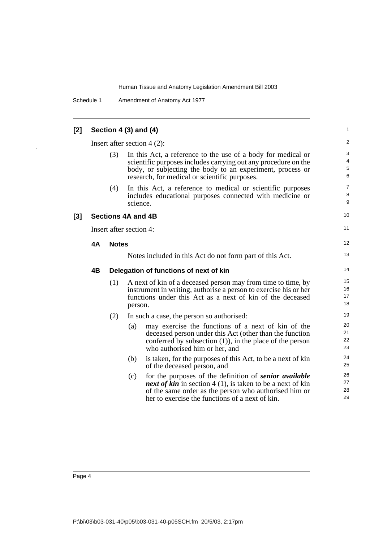Schedule 1 Amendment of Anatomy Act 1977

| [2]   |    |              | Section 4 (3) and (4)     |                                                                                                                                                                                                                                                  | 1                    |
|-------|----|--------------|---------------------------|--------------------------------------------------------------------------------------------------------------------------------------------------------------------------------------------------------------------------------------------------|----------------------|
|       |    |              |                           | Insert after section $4(2)$ :                                                                                                                                                                                                                    | $\overline{c}$       |
|       |    | (3)          |                           | In this Act, a reference to the use of a body for medical or<br>scientific purposes includes carrying out any procedure on the<br>body, or subjecting the body to an experiment, process or<br>research, for medical or scientific purposes.     | 3<br>4<br>5<br>6     |
|       |    | (4)          | science.                  | In this Act, a reference to medical or scientific purposes<br>includes educational purposes connected with medicine or                                                                                                                           | 7<br>8<br>9          |
| $[3]$ |    |              | <b>Sections 4A and 4B</b> |                                                                                                                                                                                                                                                  | 10                   |
|       |    |              | Insert after section 4:   |                                                                                                                                                                                                                                                  | 11                   |
|       | 4A | <b>Notes</b> |                           |                                                                                                                                                                                                                                                  | 12                   |
|       |    |              |                           | Notes included in this Act do not form part of this Act.                                                                                                                                                                                         | 13                   |
|       | 4B |              |                           | Delegation of functions of next of kin                                                                                                                                                                                                           | 14                   |
|       |    | (1)          | person.                   | A next of kin of a deceased person may from time to time, by<br>instrument in writing, authorise a person to exercise his or her<br>functions under this Act as a next of kin of the deceased                                                    | 15<br>16<br>17<br>18 |
|       |    | (2)          |                           | In such a case, the person so authorised:                                                                                                                                                                                                        | 19                   |
|       |    |              | (a)                       | may exercise the functions of a next of kin of the<br>deceased person under this Act (other than the function<br>conferred by subsection $(1)$ , in the place of the person<br>who authorised him or her, and                                    | 20<br>21<br>22<br>23 |
|       |    |              | (b)                       | is taken, for the purposes of this Act, to be a next of kin<br>of the deceased person, and                                                                                                                                                       | 24<br>25             |
|       |    |              | (c)                       | for the purposes of the definition of <i>senior</i> available<br><i>next of kin</i> in section $4(1)$ , is taken to be a next of kin<br>of the same order as the person who authorised him or<br>her to exercise the functions of a next of kin. | 26<br>27<br>28<br>29 |
|       |    |              |                           |                                                                                                                                                                                                                                                  |                      |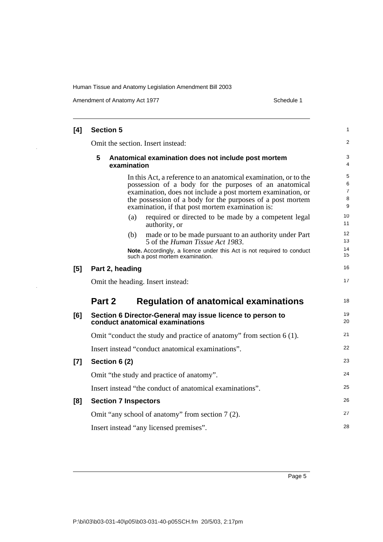Amendment of Anatomy Act 1977 **Schedule 1** Schedule 1

 $\bar{z}$ 

| [4]   | <b>Section 5</b>                                                                                                                                                                                                                                                                                            | 1                     |
|-------|-------------------------------------------------------------------------------------------------------------------------------------------------------------------------------------------------------------------------------------------------------------------------------------------------------------|-----------------------|
|       | Omit the section. Insert instead:                                                                                                                                                                                                                                                                           | 2                     |
|       | 5<br>Anatomical examination does not include post mortem<br>examination                                                                                                                                                                                                                                     | 3<br>4                |
|       | In this Act, a reference to an anatomical examination, or to the<br>possession of a body for the purposes of an anatomical<br>examination, does not include a post mortem examination, or<br>the possession of a body for the purposes of a post mortem<br>examination, if that post mortem examination is: | 5<br>6<br>7<br>8<br>9 |
|       | (a)<br>required or directed to be made by a competent legal<br>authority, or                                                                                                                                                                                                                                | 10<br>11              |
|       | made or to be made pursuant to an authority under Part<br>(b)<br>5 of the <i>Human Tissue Act 1983</i> .                                                                                                                                                                                                    | 12<br>13              |
|       | Note. Accordingly, a licence under this Act is not required to conduct<br>such a post mortem examination.                                                                                                                                                                                                   | 14<br>15              |
| [5]   | Part 2, heading                                                                                                                                                                                                                                                                                             | 16                    |
|       | Omit the heading. Insert instead:                                                                                                                                                                                                                                                                           | 17                    |
|       | Part 2<br><b>Regulation of anatomical examinations</b>                                                                                                                                                                                                                                                      | 18                    |
| [6]   | Section 6 Director-General may issue licence to person to<br>conduct anatomical examinations                                                                                                                                                                                                                | 19<br>20              |
|       | Omit "conduct the study and practice of anatomy" from section 6 (1).                                                                                                                                                                                                                                        | 21                    |
|       | Insert instead "conduct anatomical examinations".                                                                                                                                                                                                                                                           | 22                    |
| $[7]$ | Section 6 (2)                                                                                                                                                                                                                                                                                               | 23                    |
|       | Omit "the study and practice of anatomy".                                                                                                                                                                                                                                                                   | 24                    |
|       | Insert instead "the conduct of anatomical examinations".                                                                                                                                                                                                                                                    | 25                    |
| [8]   | <b>Section 7 Inspectors</b>                                                                                                                                                                                                                                                                                 | 26                    |
|       | Omit "any school of anatomy" from section 7 (2).                                                                                                                                                                                                                                                            | 27                    |
|       | Insert instead "any licensed premises".                                                                                                                                                                                                                                                                     | 28                    |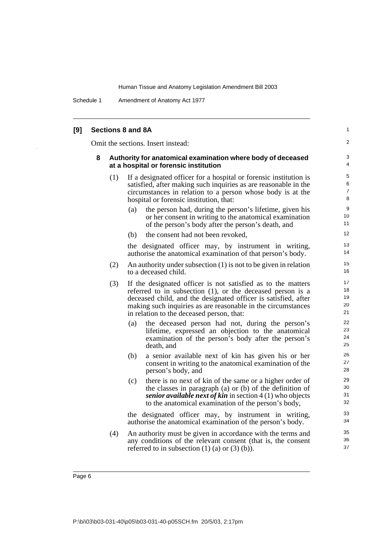Schedule 1 Amendment of Anatomy Act 1977

| [9] |   |     | Sections 8 and 8A                                                                                                                                                                                                                                                                                         | $\mathbf{1}$               |
|-----|---|-----|-----------------------------------------------------------------------------------------------------------------------------------------------------------------------------------------------------------------------------------------------------------------------------------------------------------|----------------------------|
|     |   |     | Omit the sections. Insert instead:                                                                                                                                                                                                                                                                        | $\overline{2}$             |
|     | 8 |     | Authority for anatomical examination where body of deceased<br>at a hospital or forensic institution                                                                                                                                                                                                      | 3<br>4                     |
|     |   | (1) | If a designated officer for a hospital or forensic institution is<br>satisfied, after making such inquiries as are reasonable in the<br>circumstances in relation to a person whose body is at the<br>hospital or forensic institution, that:                                                             | 5<br>6<br>7<br>8           |
|     |   |     | the person had, during the person's lifetime, given his<br>(a)<br>or her consent in writing to the anatomical examination<br>of the person's body after the person's death, and                                                                                                                           | 9<br>10<br>11              |
|     |   |     | the consent had not been revoked,<br>(b)                                                                                                                                                                                                                                                                  | 12                         |
|     |   |     | the designated officer may, by instrument in writing,<br>authorise the anatomical examination of that person's body.                                                                                                                                                                                      | 13<br>14                   |
|     |   | (2) | An authority under subsection $(1)$ is not to be given in relation<br>to a deceased child.                                                                                                                                                                                                                | 15<br>16                   |
|     |   | (3) | If the designated officer is not satisfied as to the matters<br>referred to in subsection (1), or the deceased person is a<br>deceased child, and the designated officer is satisfied, after<br>making such inquiries as are reasonable in the circumstances<br>in relation to the deceased person, that: | 17<br>18<br>19<br>20<br>21 |
|     |   |     | the deceased person had not, during the person's<br>(a)<br>lifetime, expressed an objection to the anatomical<br>examination of the person's body after the person's<br>death, and                                                                                                                        | 22<br>23<br>24<br>25       |
|     |   |     | (b)<br>a senior available next of kin has given his or her<br>consent in writing to the anatomical examination of the<br>person's body, and                                                                                                                                                               | 26<br>27<br>28             |
|     |   |     | (c)<br>there is no next of kin of the same or a higher order of<br>the classes in paragraph (a) or (b) of the definition of<br><i>senior available next of kin</i> in section $4(1)$ who objects<br>to the anatomical examination of the person's body,                                                   | 29<br>30<br>31<br>32       |
|     |   |     | the designated officer may, by instrument in writing,<br>authorise the anatomical examination of the person's body.                                                                                                                                                                                       | 33<br>34                   |
|     |   | (4) | An authority must be given in accordance with the terms and<br>any conditions of the relevant consent (that is, the consent<br>referred to in subsection $(1)$ $(a)$ or $(3)$ $(b)$ ).                                                                                                                    | 35<br>36<br>37             |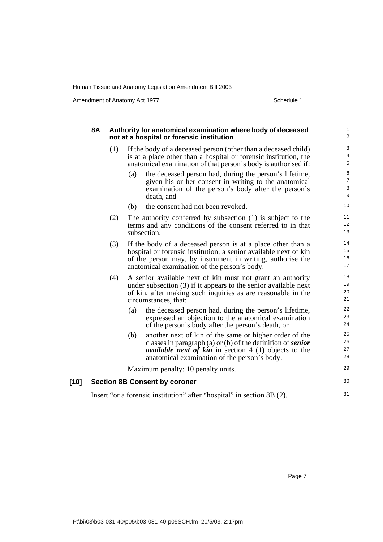Amendment of Anatomy Act 1977 **Schedule 1** Schedule 1

 $[10]$ 

| <b>8A</b> | Authority for anatomical examination where body of deceased<br>not at a hospital or forensic institution |                                                                                                                                                                                                                                                      |                                   |  |  |  |
|-----------|----------------------------------------------------------------------------------------------------------|------------------------------------------------------------------------------------------------------------------------------------------------------------------------------------------------------------------------------------------------------|-----------------------------------|--|--|--|
|           | (1)                                                                                                      | If the body of a deceased person (other than a deceased child)<br>is at a place other than a hospital or forensic institution, the<br>anatomical examination of that person's body is authorised if:                                                 |                                   |  |  |  |
|           |                                                                                                          | the deceased person had, during the person's lifetime,<br>(a)<br>given his or her consent in writing to the anatomical<br>examination of the person's body after the person's<br>death, and                                                          | $\,6$<br>$\overline{7}$<br>8<br>9 |  |  |  |
|           |                                                                                                          | the consent had not been revoked.<br>(b)                                                                                                                                                                                                             | 10                                |  |  |  |
|           | (2)                                                                                                      | The authority conferred by subsection (1) is subject to the<br>terms and any conditions of the consent referred to in that<br>subsection.                                                                                                            | 11<br>12<br>13                    |  |  |  |
| (3)       |                                                                                                          | If the body of a deceased person is at a place other than a<br>hospital or forensic institution, a senior available next of kin<br>of the person may, by instrument in writing, authorise the<br>anatomical examination of the person's body.        | 14<br>15<br>16<br>17              |  |  |  |
|           | (4)                                                                                                      | A senior available next of kin must not grant an authority<br>under subsection (3) if it appears to the senior available next<br>of kin, after making such inquiries as are reasonable in the<br>circumstances, that:                                |                                   |  |  |  |
|           |                                                                                                          | the deceased person had, during the person's lifetime,<br>(a)<br>expressed an objection to the anatomical examination<br>of the person's body after the person's death, or                                                                           | 22<br>23<br>24                    |  |  |  |
|           |                                                                                                          | another next of kin of the same or higher order of the<br>(b)<br>classes in paragraph (a) or (b) of the definition of <i>senior</i><br><i>available next of kin</i> in section $4(1)$ objects to the<br>anatomical examination of the person's body. | 25<br>26<br>27<br>28              |  |  |  |
|           |                                                                                                          | Maximum penalty: 10 penalty units.                                                                                                                                                                                                                   | 29                                |  |  |  |
|           |                                                                                                          | <b>Section 8B Consent by coroner</b>                                                                                                                                                                                                                 | 30                                |  |  |  |
|           |                                                                                                          | Insert "or a forensic institution" after "hospital" in section 8B (2).                                                                                                                                                                               | 31                                |  |  |  |
|           |                                                                                                          |                                                                                                                                                                                                                                                      |                                   |  |  |  |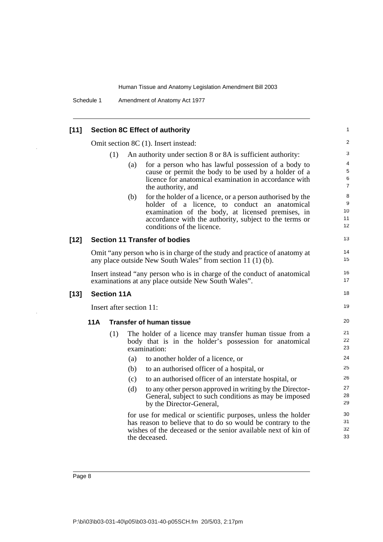Schedule 1 Amendment of Anatomy Act 1977

| $[11]$ |            |                          |     | <b>Section 8C Effect of authority</b>                                                                                                                                                                                                                    | 1                        |
|--------|------------|--------------------------|-----|----------------------------------------------------------------------------------------------------------------------------------------------------------------------------------------------------------------------------------------------------------|--------------------------|
|        |            |                          |     | Omit section 8C (1). Insert instead:                                                                                                                                                                                                                     | $\overline{c}$           |
|        |            | (1)                      |     | An authority under section 8 or 8A is sufficient authority:                                                                                                                                                                                              | 3                        |
|        |            |                          | (a) | for a person who has lawful possession of a body to<br>cause or permit the body to be used by a holder of a<br>licence for anatomical examination in accordance with<br>the authority, and                                                               | 4<br>5<br>6<br>7         |
|        |            |                          | (b) | for the holder of a licence, or a person authorised by the<br>holder of a licence, to conduct an anatomical<br>examination of the body, at licensed premises, in<br>accordance with the authority, subject to the terms or<br>conditions of the licence. | 8<br>9<br>10<br>11<br>12 |
| $[12]$ |            |                          |     | <b>Section 11 Transfer of bodies</b>                                                                                                                                                                                                                     | 13                       |
|        |            |                          |     | Omit "any person who is in charge of the study and practice of anatomy at<br>any place outside New South Wales" from section 11 (1) (b).                                                                                                                 | 14<br>15                 |
|        |            |                          |     | Insert instead "any person who is in charge of the conduct of anatomical<br>examinations at any place outside New South Wales".                                                                                                                          | 16<br>17                 |
| $[13]$ |            | <b>Section 11A</b>       |     |                                                                                                                                                                                                                                                          | 18                       |
|        |            | Insert after section 11: |     |                                                                                                                                                                                                                                                          | 19                       |
|        | <b>11A</b> |                          |     | <b>Transfer of human tissue</b>                                                                                                                                                                                                                          | 20                       |
|        |            | (1)                      |     | The holder of a licence may transfer human tissue from a<br>body that is in the holder's possession for anatomical<br>examination:                                                                                                                       | 21<br>22<br>23           |
|        |            |                          | (a) | to another holder of a licence, or                                                                                                                                                                                                                       | 24                       |
|        |            |                          | (b) | to an authorised officer of a hospital, or                                                                                                                                                                                                               | 25                       |
|        |            |                          | (c) | to an authorised officer of an interstate hospital, or                                                                                                                                                                                                   | 26                       |
|        |            |                          | (d) | to any other person approved in writing by the Director-<br>General, subject to such conditions as may be imposed<br>by the Director-General,                                                                                                            | 27<br>28<br>29           |
|        |            |                          |     | for use for medical or scientific purposes, unless the holder<br>has reason to believe that to do so would be contrary to the<br>wishes of the deceased or the senior available next of kin of<br>the deceased.                                          | 30<br>31<br>32<br>33     |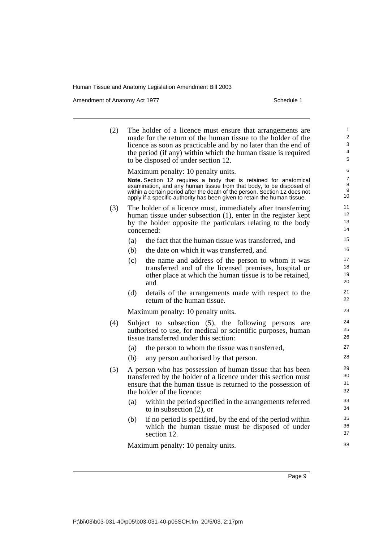Amendment of Anatomy Act 1977 **Schedule 1** Schedule 1

| (2) | The holder of a licence must ensure that arrangements are<br>made for the return of the human tissue to the holder of the<br>licence as soon as practicable and by no later than the end of<br>the period (if any) within which the human tissue is required<br>to be disposed of under section 12. | 1<br>2<br>3<br>4<br>5          |
|-----|-----------------------------------------------------------------------------------------------------------------------------------------------------------------------------------------------------------------------------------------------------------------------------------------------------|--------------------------------|
|     | Maximum penalty: 10 penalty units.                                                                                                                                                                                                                                                                  | 6                              |
|     | Note. Section 12 requires a body that is retained for anatomical<br>examination, and any human tissue from that body, to be disposed of<br>within a certain period after the death of the person. Section 12 does not<br>apply if a specific authority has been given to retain the human tissue.   | $\overline{7}$<br>8<br>9<br>10 |
| (3) | The holder of a licence must, immediately after transferring<br>human tissue under subsection (1), enter in the register kept<br>by the holder opposite the particulars relating to the body<br>concerned:                                                                                          | 11<br>12<br>13<br>14           |
|     | (a)<br>the fact that the human tissue was transferred, and                                                                                                                                                                                                                                          | 15                             |
|     | the date on which it was transferred, and<br>(b)                                                                                                                                                                                                                                                    | 16                             |
|     | the name and address of the person to whom it was<br>(c)<br>transferred and of the licensed premises, hospital or<br>other place at which the human tissue is to be retained,<br>and                                                                                                                | 17<br>18<br>19<br>20           |
|     | (d)<br>details of the arrangements made with respect to the<br>return of the human tissue.                                                                                                                                                                                                          | 21<br>22                       |
|     | Maximum penalty: 10 penalty units.                                                                                                                                                                                                                                                                  | 23                             |
| (4) | Subject to subsection (5), the following persons<br>are<br>authorised to use, for medical or scientific purposes, human<br>tissue transferred under this section:                                                                                                                                   | 24<br>25<br>26                 |
|     | the person to whom the tissue was transferred,<br>(a)                                                                                                                                                                                                                                               | 27                             |
|     | (b)<br>any person authorised by that person.                                                                                                                                                                                                                                                        | 28                             |
| (5) | A person who has possession of human tissue that has been<br>transferred by the holder of a licence under this section must<br>ensure that the human tissue is returned to the possession of<br>the holder of the licence:                                                                          | 29<br>30<br>31<br>32           |
|     | within the period specified in the arrangements referred<br>(a)<br>to in subsection $(2)$ , or                                                                                                                                                                                                      | 33<br>34                       |
|     | if no period is specified, by the end of the period within<br>(b)<br>which the human tissue must be disposed of under<br>section 12.                                                                                                                                                                | 35<br>36<br>37                 |
|     | Maximum penalty: 10 penalty units.                                                                                                                                                                                                                                                                  | 38                             |
|     |                                                                                                                                                                                                                                                                                                     |                                |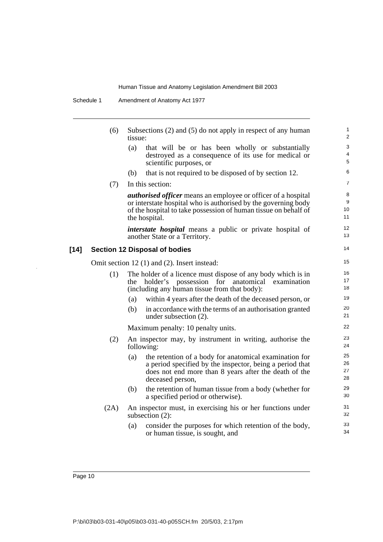|        | (6)  | Subsections $(2)$ and $(5)$ do not apply in respect of any human<br>tissue:                                                                                                                                                | 1<br>$\overline{\mathbf{c}}$ |
|--------|------|----------------------------------------------------------------------------------------------------------------------------------------------------------------------------------------------------------------------------|------------------------------|
|        |      | (a)<br>that will be or has been wholly or substantially<br>destroyed as a consequence of its use for medical or<br>scientific purposes, or                                                                                 | 3<br>4<br>5                  |
|        |      | that is not required to be disposed of by section 12.<br>(b)                                                                                                                                                               | 6                            |
|        | (7)  | In this section:                                                                                                                                                                                                           | 7                            |
|        |      | <i>authorised officer</i> means an employee or officer of a hospital<br>or interstate hospital who is authorised by the governing body<br>of the hospital to take possession of human tissue on behalf of<br>the hospital. | 8<br>9<br>10<br>11           |
|        |      | <i>interstate hospital</i> means a public or private hospital of<br>another State or a Territory.                                                                                                                          | 12<br>13                     |
| $[14]$ |      | <b>Section 12 Disposal of bodies</b>                                                                                                                                                                                       | 14                           |
|        |      | Omit section 12 (1) and (2). Insert instead:                                                                                                                                                                               | 15                           |
|        | (1)  | The holder of a licence must dispose of any body which is in<br>the holder's possession for<br>anatomical<br>examination<br>(including any human tissue from that body):                                                   | 16<br>17<br>18               |
|        |      | (a)<br>within 4 years after the death of the deceased person, or                                                                                                                                                           | 19                           |
|        |      | (b)<br>in accordance with the terms of an authorisation granted<br>under subsection $(2)$ .                                                                                                                                | 20<br>21                     |
|        |      | Maximum penalty: 10 penalty units.                                                                                                                                                                                         | 22                           |
|        | (2)  | An inspector may, by instrument in writing, authorise the<br>following:                                                                                                                                                    | 23<br>24                     |
|        |      | the retention of a body for anatomical examination for<br>(a)<br>a period specified by the inspector, being a period that<br>does not end more than 8 years after the death of the<br>deceased person,                     | 25<br>26<br>27<br>28         |
|        |      | the retention of human tissue from a body (whether for<br>(b)<br>a specified period or otherwise).                                                                                                                         | 29<br>30                     |
|        | (2A) | An inspector must, in exercising his or her functions under<br>subsection $(2)$ :                                                                                                                                          | 31<br>32                     |
|        |      | consider the purposes for which retention of the body,<br>(a)<br>or human tissue, is sought, and                                                                                                                           | 33<br>34                     |

Page 10

 $\overline{\phantom{a}}$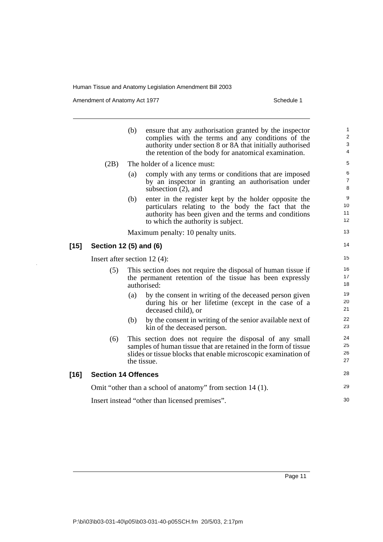Amendment of Anatomy Act 1977 **Schedule 1** Schedule 1

 $\overline{\phantom{a}}$ 

|        |      | (b)<br>ensure that any authorisation granted by the inspector<br>complies with the terms and any conditions of the<br>authority under section 8 or 8A that initially authorised<br>the retention of the body for anatomical examination. | $\mathbf{1}$<br>2<br>3<br>4 |
|--------|------|------------------------------------------------------------------------------------------------------------------------------------------------------------------------------------------------------------------------------------------|-----------------------------|
|        | (2B) | The holder of a licence must:                                                                                                                                                                                                            | 5                           |
|        |      | comply with any terms or conditions that are imposed<br>(a)<br>by an inspector in granting an authorisation under<br>subsection $(2)$ , and                                                                                              | 6<br>$\overline{7}$<br>8    |
|        |      | enter in the register kept by the holder opposite the<br>(b)<br>particulars relating to the body the fact that the<br>authority has been given and the terms and conditions<br>to which the authority is subject.                        | 9<br>10<br>11<br>12         |
|        |      | Maximum penalty: 10 penalty units.                                                                                                                                                                                                       | 13                          |
| $[15]$ |      | Section 12 (5) and (6)                                                                                                                                                                                                                   | 14                          |
|        |      | Insert after section $12(4)$ :                                                                                                                                                                                                           | 15                          |
|        | (5)  | This section does not require the disposal of human tissue if<br>the permanent retention of the tissue has been expressly<br>authorised:                                                                                                 | 16<br>17<br>18              |
|        |      | by the consent in writing of the deceased person given<br>(a)<br>during his or her lifetime (except in the case of a<br>deceased child), or                                                                                              | 19<br>20<br>21              |
|        |      | by the consent in writing of the senior available next of<br>(b)<br>kin of the deceased person.                                                                                                                                          | 22<br>23                    |
|        | (6)  | This section does not require the disposal of any small<br>samples of human tissue that are retained in the form of tissue<br>slides or tissue blocks that enable microscopic examination of<br>the tissue.                              | 24<br>25<br>26<br>27        |
| $[16]$ |      | <b>Section 14 Offences</b>                                                                                                                                                                                                               | 28                          |
|        |      | Omit "other than a school of anatomy" from section 14 (1).                                                                                                                                                                               | 29                          |
|        |      | Insert instead "other than licensed premises".                                                                                                                                                                                           | 30                          |
|        |      |                                                                                                                                                                                                                                          |                             |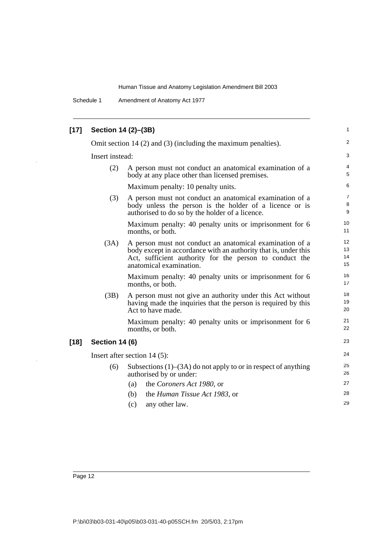Schedule 1 Amendment of Anatomy Act 1977

| [17]   | Section 14 (2)–(3B)   |                                                                                                                                                                                                                   | 1                    |
|--------|-----------------------|-------------------------------------------------------------------------------------------------------------------------------------------------------------------------------------------------------------------|----------------------|
|        |                       | Omit section $14(2)$ and $(3)$ (including the maximum penalties).                                                                                                                                                 | 2                    |
|        | Insert instead:       |                                                                                                                                                                                                                   | 3                    |
|        | (2)                   | A person must not conduct an anatomical examination of a<br>body at any place other than licensed premises.                                                                                                       | 4<br>5               |
|        |                       | Maximum penalty: 10 penalty units.                                                                                                                                                                                | 6                    |
|        | (3)                   | A person must not conduct an anatomical examination of a<br>body unless the person is the holder of a licence or is<br>authorised to do so by the holder of a licence.                                            | 7<br>8<br>9          |
|        |                       | Maximum penalty: 40 penalty units or imprisonment for 6<br>months, or both.                                                                                                                                       | 10<br>11             |
|        | (3A)                  | A person must not conduct an anatomical examination of a<br>body except in accordance with an authority that is, under this<br>Act, sufficient authority for the person to conduct the<br>anatomical examination. | 12<br>13<br>14<br>15 |
|        |                       | Maximum penalty: 40 penalty units or imprisonment for 6<br>months, or both.                                                                                                                                       | 16<br>17             |
|        | (3B)                  | A person must not give an authority under this Act without<br>having made the inquiries that the person is required by this<br>Act to have made.                                                                  | 18<br>19<br>20       |
|        |                       | Maximum penalty: 40 penalty units or imprisonment for 6<br>months, or both.                                                                                                                                       | 21<br>22             |
| $[18]$ | <b>Section 14 (6)</b> |                                                                                                                                                                                                                   | 23                   |
|        |                       | Insert after section $14(5)$ :                                                                                                                                                                                    | 24                   |
|        | (6)                   | Subsections $(1)$ – $(3A)$ do not apply to or in respect of anything<br>authorised by or under:                                                                                                                   | 25<br>26             |
|        |                       | the Coroners Act 1980, or<br>(a)                                                                                                                                                                                  | 27                   |
|        |                       | the Human Tissue Act 1983, or<br>(b)                                                                                                                                                                              | 28                   |
|        |                       | (c)<br>any other law.                                                                                                                                                                                             | 29                   |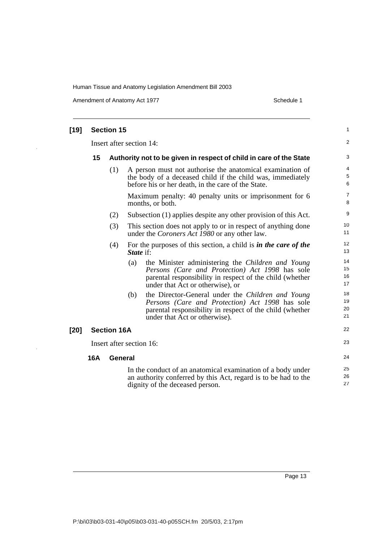Amendment of Anatomy Act 1977 **Schedule 1** Schedule 1

| $[19]$ | <b>Section 15</b>        |                          |           | $\mathbf{1}$                                                                                                                                                                                         |                      |
|--------|--------------------------|--------------------------|-----------|------------------------------------------------------------------------------------------------------------------------------------------------------------------------------------------------------|----------------------|
|        | Insert after section 14: |                          |           |                                                                                                                                                                                                      |                      |
|        | 15                       |                          |           | Authority not to be given in respect of child in care of the State                                                                                                                                   | 3                    |
|        |                          | (1)                      |           | A person must not authorise the anatomical examination of<br>the body of a deceased child if the child was, immediately<br>before his or her death, in the care of the State.                        | 4<br>5<br>6          |
|        |                          |                          |           | Maximum penalty: 40 penalty units or imprisonment for 6<br>months, or both.                                                                                                                          | $\overline{7}$<br>8  |
|        |                          | (2)                      |           | Subsection (1) applies despite any other provision of this Act.                                                                                                                                      | 9                    |
|        |                          | (3)                      |           | This section does not apply to or in respect of anything done<br>under the <i>Coroners Act 1980</i> or any other law.                                                                                | 10<br>11             |
|        |                          | (4)                      | State if: | For the purposes of this section, a child is <i>in the care of the</i>                                                                                                                               | 12<br>13             |
|        |                          |                          | (a)       | the Minister administering the Children and Young<br>Persons (Care and Protection) Act 1998 has sole<br>parental responsibility in respect of the child (whether<br>under that Act or otherwise), or | 14<br>15<br>16<br>17 |
|        |                          |                          | (b)       | the Director-General under the Children and Young<br>Persons (Care and Protection) Act 1998 has sole<br>parental responsibility in respect of the child (whether<br>under that Act or otherwise).    | 18<br>19<br>20<br>21 |
| [20]   |                          | <b>Section 16A</b>       |           |                                                                                                                                                                                                      | 22                   |
|        |                          | Insert after section 16: |           |                                                                                                                                                                                                      | 23                   |
|        | <b>16A</b>               | <b>General</b>           |           |                                                                                                                                                                                                      | 24                   |
|        |                          |                          |           | In the conduct of an anatomical examination of a body under<br>an authority conferred by this Act, regard is to be had to the<br>dignity of the deceased person.                                     | 25<br>26<br>27       |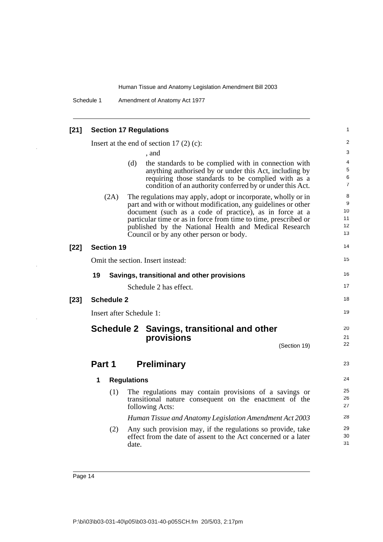Schedule 1 Amendment of Anatomy Act 1977

| $[21]$ |                                            | <b>Section 17 Regulations</b>                                                                                             | 1        |  |  |  |
|--------|--------------------------------------------|---------------------------------------------------------------------------------------------------------------------------|----------|--|--|--|
|        |                                            | Insert at the end of section 17 $(2)$ $(c)$ :                                                                             | 2        |  |  |  |
|        |                                            | , and                                                                                                                     | 3        |  |  |  |
|        |                                            | the standards to be complied with in connection with<br>(d)                                                               | 4        |  |  |  |
|        |                                            | anything authorised by or under this Act, including by<br>requiring those standards to be complied with as a              | 5<br>6   |  |  |  |
|        |                                            | condition of an authority conferred by or under this Act.                                                                 | 7        |  |  |  |
|        | (2A)                                       | The regulations may apply, adopt or incorporate, wholly or in                                                             | 8        |  |  |  |
|        |                                            | part and with or without modification, any guidelines or other<br>document (such as a code of practice), as in force at a | 9<br>10  |  |  |  |
|        |                                            | particular time or as in force from time to time, prescribed or                                                           | 11       |  |  |  |
|        |                                            | published by the National Health and Medical Research<br>Council or by any other person or body.                          | 12<br>13 |  |  |  |
| $[22]$ | <b>Section 19</b>                          |                                                                                                                           | 14       |  |  |  |
|        |                                            | Omit the section. Insert instead:                                                                                         | 15       |  |  |  |
|        | 19                                         | Savings, transitional and other provisions                                                                                | 16       |  |  |  |
|        |                                            | Schedule 2 has effect.                                                                                                    | 17       |  |  |  |
| $[23]$ | <b>Schedule 2</b>                          |                                                                                                                           | 18       |  |  |  |
|        |                                            | Insert after Schedule 1:                                                                                                  | 19       |  |  |  |
|        | Schedule 2 Savings, transitional and other |                                                                                                                           |          |  |  |  |
|        |                                            | provisions                                                                                                                | 21<br>22 |  |  |  |
|        |                                            | (Section 19)                                                                                                              |          |  |  |  |
|        | Part 1                                     | <b>Preliminary</b>                                                                                                        | 23       |  |  |  |
|        | 1                                          | <b>Regulations</b>                                                                                                        | 24       |  |  |  |
|        | (1)                                        | The regulations may contain provisions of a savings or                                                                    | 25       |  |  |  |
|        |                                            | transitional nature consequent on the enactment of the<br>following Acts:                                                 | 26<br>27 |  |  |  |
|        |                                            | Human Tissue and Anatomy Legislation Amendment Act 2003                                                                   | 28       |  |  |  |
|        | (2)                                        | Any such provision may, if the regulations so provide, take                                                               | 29       |  |  |  |
|        |                                            | effect from the date of assent to the Act concerned or a later<br>date.                                                   | 30<br>31 |  |  |  |
|        |                                            |                                                                                                                           |          |  |  |  |

 $\ddot{\phantom{a}}$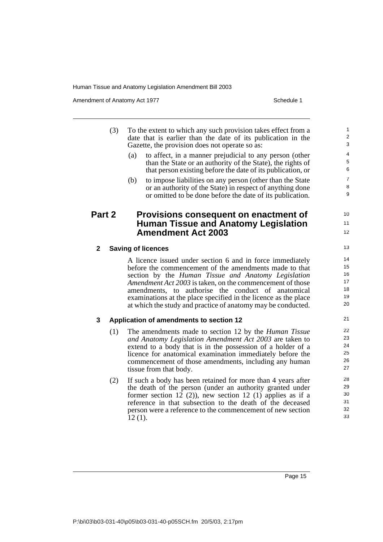Amendment of Anatomy Act 1977 **Schedule 1** Schedule 1

10 11 12

- (3) To the extent to which any such provision takes effect from a date that is earlier than the date of its publication in the Gazette, the provision does not operate so as:
	- (a) to affect, in a manner prejudicial to any person (other than the State or an authority of the State), the rights of that person existing before the date of its publication, or
	- (b) to impose liabilities on any person (other than the State or an authority of the State) in respect of anything done or omitted to be done before the date of its publication.

## **Part 2 Provisions consequent on enactment of Human Tissue and Anatomy Legislation Amendment Act 2003**

#### **2 Saving of licences**

A licence issued under section 6 and in force immediately before the commencement of the amendments made to that section by the *Human Tissue and Anatomy Legislation Amendment Act 2003* is taken, on the commencement of those amendments, to authorise the conduct of anatomical examinations at the place specified in the licence as the place at which the study and practice of anatomy may be conducted.

#### **3 Application of amendments to section 12**

- (1) The amendments made to section 12 by the *Human Tissue and Anatomy Legislation Amendment Act 2003* are taken to extend to a body that is in the possession of a holder of a licence for anatomical examination immediately before the commencement of those amendments, including any human tissue from that body.
- (2) If such a body has been retained for more than 4 years after the death of the person (under an authority granted under former section 12 (2)), new section 12 (1) applies as if a reference in that subsection to the death of the deceased person were a reference to the commencement of new section  $\hat{1}2(1)$ .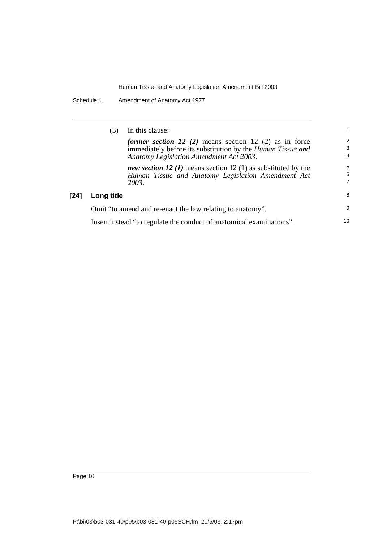Schedule 1 Amendment of Anatomy Act 1977

|      | (3)        | In this clause:                                                                                                                                                                |                          |
|------|------------|--------------------------------------------------------------------------------------------------------------------------------------------------------------------------------|--------------------------|
|      |            | <i>former section 12 (2)</i> means section 12 (2) as in force<br>immediately before its substitution by the <i>Human Tissue and</i><br>Anatomy Legislation Amendment Act 2003. | 2<br>3<br>$\overline{4}$ |
|      |            | <i>new section 12 (1)</i> means section 12 (1) as substituted by the<br>Human Tissue and Anatomy Legislation Amendment Act<br>2003.                                            | 5<br>6<br>$\overline{7}$ |
| [24] | Long title |                                                                                                                                                                                | 8                        |
|      |            | Omit "to amend and re-enact the law relating to anatomy".                                                                                                                      | 9                        |
|      |            | Insert instead "to regulate the conduct of anatomical examinations".                                                                                                           | 10                       |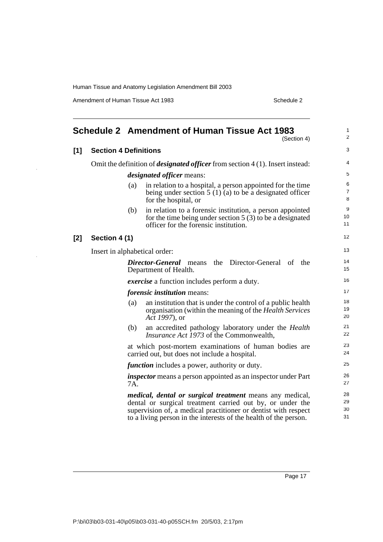Amendment of Human Tissue Act 1983 Schedule 2

 $\ddot{\phantom{1}}$ 

J.

<span id="page-28-0"></span>

|     |                              |     | Schedule 2 Amendment of Human Tissue Act 1983<br>(Section 4)                                                                                                                                                                                                       | $\mathbf{1}$<br>2            |
|-----|------------------------------|-----|--------------------------------------------------------------------------------------------------------------------------------------------------------------------------------------------------------------------------------------------------------------------|------------------------------|
| [1] | <b>Section 4 Definitions</b> |     |                                                                                                                                                                                                                                                                    | 3                            |
|     |                              |     | Omit the definition of <i>designated officer</i> from section $4(1)$ . Insert instead:                                                                                                                                                                             | 4                            |
|     |                              |     | <i>designated officer means:</i>                                                                                                                                                                                                                                   | $\,$ 5 $\,$                  |
|     |                              | (a) | in relation to a hospital, a person appointed for the time<br>being under section $5(1)(a)$ to be a designated officer<br>for the hospital, or                                                                                                                     | $\,6$<br>$\overline{7}$<br>8 |
|     |                              | (b) | in relation to a forensic institution, a person appointed<br>for the time being under section $5(3)$ to be a designated<br>officer for the forensic institution.                                                                                                   | 9<br>10<br>11                |
| [2] | Section 4 (1)                |     |                                                                                                                                                                                                                                                                    | 12                           |
|     |                              |     | Insert in alphabetical order:                                                                                                                                                                                                                                      | 13                           |
|     |                              |     | the Director-General of the<br>Director-General<br>means<br>Department of Health.                                                                                                                                                                                  | 14<br>15                     |
|     |                              |     | <i>exercise</i> a function includes perform a duty.                                                                                                                                                                                                                | 16                           |
|     |                              |     | <i>forensic institution</i> means:                                                                                                                                                                                                                                 | 17                           |
|     |                              | (a) | an institution that is under the control of a public health<br>organisation (within the meaning of the <i>Health Services</i><br>Act 1997), or                                                                                                                     | 18<br>19<br>20               |
|     |                              | (b) | an accredited pathology laboratory under the <i>Health</i><br><i>Insurance Act 1973</i> of the Commonwealth,                                                                                                                                                       | 21<br>22                     |
|     |                              |     | at which post-mortem examinations of human bodies are<br>carried out, but does not include a hospital.                                                                                                                                                             | 23<br>24                     |
|     |                              |     | <i>function</i> includes a power, authority or duty.                                                                                                                                                                                                               | 25                           |
|     |                              | 7A. | <i>inspector</i> means a person appointed as an inspector under Part                                                                                                                                                                                               | 26<br>27                     |
|     |                              |     | <i>medical, dental or surgical treatment</i> means any medical,<br>dental or surgical treatment carried out by, or under the<br>supervision of, a medical practitioner or dentist with respect<br>to a living person in the interests of the health of the person. | 28<br>29<br>30<br>31         |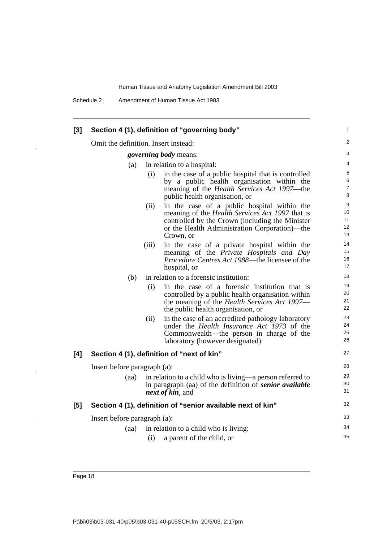Schedule 2 Amendment of Human Tissue Act 1983

| $[3]$ |                                      | Section 4 (1), definition of "governing body"                                                                                                                                                                                  | 1                             |  |  |  |  |
|-------|--------------------------------------|--------------------------------------------------------------------------------------------------------------------------------------------------------------------------------------------------------------------------------|-------------------------------|--|--|--|--|
|       | Omit the definition. Insert instead: |                                                                                                                                                                                                                                | 2                             |  |  |  |  |
|       | <i>governing body</i> means:         |                                                                                                                                                                                                                                |                               |  |  |  |  |
|       | (a)                                  | in relation to a hospital:                                                                                                                                                                                                     | 4                             |  |  |  |  |
|       |                                      | in the case of a public hospital that is controlled<br>(i)<br>by a public health organisation within the<br>meaning of the <i>Health Services Act 1997</i> —the<br>public health organisation, or                              | 5<br>6<br>$\overline{7}$<br>8 |  |  |  |  |
|       |                                      | in the case of a public hospital within the<br>(ii)<br>meaning of the <i>Health Services Act 1997</i> that is<br>controlled by the Crown (including the Minister<br>or the Health Administration Corporation)—the<br>Crown, or | 9<br>10<br>11<br>12<br>13     |  |  |  |  |
|       |                                      | in the case of a private hospital within the<br>(iii)<br>meaning of the Private Hospitals and Day<br><i>Procedure Centres Act 1988</i> —the licensee of the<br>hospital, or                                                    | 14<br>15<br>16<br>17          |  |  |  |  |
|       | (b)                                  | in relation to a forensic institution:                                                                                                                                                                                         | 18                            |  |  |  |  |
|       |                                      | in the case of a forensic institution that is<br>(i)<br>controlled by a public health organisation within<br>the meaning of the <i>Health Services Act 1997</i> —<br>the public health organisation, or                        | 19<br>20<br>21<br>22          |  |  |  |  |
|       |                                      | in the case of an accredited pathology laboratory<br>(ii)<br>under the <i>Health Insurance Act 1973</i> of the<br>Commonwealth—the person in charge of the<br>laboratory (however designated).                                 | 23<br>24<br>25<br>26          |  |  |  |  |
| [4]   |                                      | Section 4 (1), definition of "next of kin"                                                                                                                                                                                     | 27                            |  |  |  |  |
|       | Insert before paragraph (a):         |                                                                                                                                                                                                                                |                               |  |  |  |  |
|       | (aa)                                 | in relation to a child who is living—a person referred to<br>in paragraph (aa) of the definition of senior available<br><i>next of kin</i> , and                                                                               | 29<br>30<br>31                |  |  |  |  |
| [5]   |                                      | Section 4 (1), definition of "senior available next of kin"                                                                                                                                                                    | 32                            |  |  |  |  |
|       | Insert before paragraph (a):         |                                                                                                                                                                                                                                | 33                            |  |  |  |  |
|       | (aa)                                 | in relation to a child who is living:<br>(i)<br>a parent of the child, or                                                                                                                                                      | 34<br>35                      |  |  |  |  |

Page 18

 $\frac{1}{\sqrt{2}}$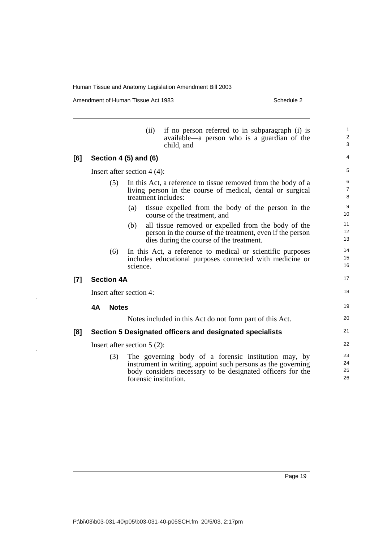Amendment of Human Tissue Act 1983 Schedule 2

l,

|     |                   |              | (ii)                          | if no person referred to in subparagraph (i) is<br>available—a person who is a guardian of the<br>child, and                                                                                                | $\mathbf{1}$<br>$\overline{2}$<br>3 |
|-----|-------------------|--------------|-------------------------------|-------------------------------------------------------------------------------------------------------------------------------------------------------------------------------------------------------------|-------------------------------------|
| [6] |                   |              | Section 4 (5) and (6)         |                                                                                                                                                                                                             | 4                                   |
|     |                   |              | Insert after section $4(4)$ : |                                                                                                                                                                                                             | 5                                   |
|     |                   | (5)          |                               | In this Act, a reference to tissue removed from the body of a<br>living person in the course of medical, dental or surgical<br>treatment includes:                                                          | 6<br>$\overline{7}$<br>8            |
|     |                   |              | (a)                           | tissue expelled from the body of the person in the<br>course of the treatment, and                                                                                                                          | 9<br>10 <sup>10</sup>               |
|     |                   |              | (b)                           | all tissue removed or expelled from the body of the<br>person in the course of the treatment, even if the person<br>dies during the course of the treatment.                                                | 11<br>12 <sup>2</sup><br>13         |
|     |                   | (6)          | science.                      | In this Act, a reference to medical or scientific purposes<br>includes educational purposes connected with medicine or                                                                                      | 14<br>15<br>16                      |
| [7] | <b>Section 4A</b> |              |                               |                                                                                                                                                                                                             | 17                                  |
|     |                   |              | Insert after section 4:       |                                                                                                                                                                                                             | 18                                  |
|     | <b>4A</b>         | <b>Notes</b> |                               |                                                                                                                                                                                                             | 19                                  |
|     |                   |              |                               | Notes included in this Act do not form part of this Act.                                                                                                                                                    | 20                                  |
| [8] |                   |              |                               | Section 5 Designated officers and designated specialists                                                                                                                                                    | 21                                  |
|     |                   |              | Insert after section $5(2)$ : |                                                                                                                                                                                                             | 22                                  |
|     |                   | (3)          |                               | The governing body of a forensic institution may, by<br>instrument in writing, appoint such persons as the governing<br>body considers necessary to be designated officers for the<br>forensic institution. | 23<br>24<br>25<br>26                |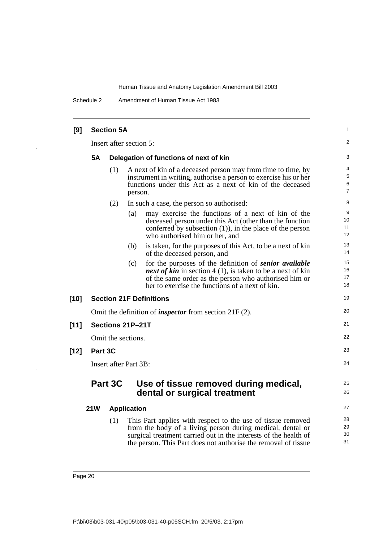Schedule 2 Amendment of Human Tissue Act 1983

| [9]    |            | <b>Section 5A</b> |                                                                                                                                                                                                                                                                 |                                    |  |  |
|--------|------------|-------------------|-----------------------------------------------------------------------------------------------------------------------------------------------------------------------------------------------------------------------------------------------------------------|------------------------------------|--|--|
|        |            |                   | Insert after section 5:                                                                                                                                                                                                                                         | 2                                  |  |  |
|        | 5A         |                   | Delegation of functions of next of kin                                                                                                                                                                                                                          | 3                                  |  |  |
|        |            | (1)               | A next of kin of a deceased person may from time to time, by<br>instrument in writing, authorise a person to exercise his or her<br>functions under this Act as a next of kin of the deceased<br>person.                                                        | 4<br>5<br>6<br>$\overline{7}$      |  |  |
|        |            | (2)               | In such a case, the person so authorised:                                                                                                                                                                                                                       | 8                                  |  |  |
|        |            |                   | may exercise the functions of a next of kin of the<br>(a)<br>deceased person under this Act (other than the function<br>conferred by subsection $(1)$ ), in the place of the person<br>who authorised him or her, and                                           | 9<br>10<br>11<br>$12 \overline{ }$ |  |  |
|        |            |                   | (b)<br>is taken, for the purposes of this Act, to be a next of kin<br>of the deceased person, and                                                                                                                                                               | 13<br>14                           |  |  |
|        |            |                   | (c)<br>for the purposes of the definition of <i>senior</i> available<br><i>next of kin</i> in section 4 (1), is taken to be a next of kin<br>of the same order as the person who authorised him or<br>her to exercise the functions of a next of kin.           | 15<br>16<br>17<br>18               |  |  |
| $[10]$ |            |                   | <b>Section 21F Definitions</b>                                                                                                                                                                                                                                  | 19                                 |  |  |
|        |            |                   | Omit the definition of <i>inspector</i> from section $21F(2)$ .                                                                                                                                                                                                 | 20                                 |  |  |
| $[11]$ |            |                   | Sections 21P-21T                                                                                                                                                                                                                                                | 21                                 |  |  |
|        |            |                   | Omit the sections.                                                                                                                                                                                                                                              | 22                                 |  |  |
| $[12]$ | Part 3C    |                   |                                                                                                                                                                                                                                                                 | 23                                 |  |  |
|        |            |                   | <b>Insert after Part 3B:</b>                                                                                                                                                                                                                                    | 24                                 |  |  |
|        |            | Part 3C           | Use of tissue removed during medical,<br>dental or surgical treatment                                                                                                                                                                                           | 25<br>26                           |  |  |
|        | <b>21W</b> |                   | <b>Application</b>                                                                                                                                                                                                                                              | 27                                 |  |  |
|        |            | (1)               | This Part applies with respect to the use of tissue removed<br>from the body of a living person during medical, dental or<br>surgical treatment carried out in the interests of the health of<br>the person. This Part does not authorise the removal of tissue | 28<br>29<br>30<br>31               |  |  |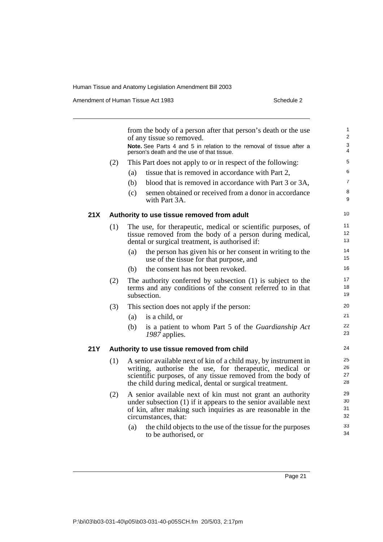Amendment of Human Tissue Act 1983 Schedule 2

|      |     | from the body of a person after that person's death or the use<br>of any tissue so removed.                                       | 1<br>$\overline{2}$    |
|------|-----|-----------------------------------------------------------------------------------------------------------------------------------|------------------------|
|      |     | Note. See Parts 4 and 5 in relation to the removal of tissue after a<br>person's death and the use of that tissue.                | 3<br>4                 |
|      | (2) | This Part does not apply to or in respect of the following:                                                                       | 5                      |
|      |     | tissue that is removed in accordance with Part 2,<br>(a)                                                                          | 6                      |
|      |     | blood that is removed in accordance with Part 3 or 3A,<br>(b)                                                                     | $\overline{7}$         |
|      |     | semen obtained or received from a donor in accordance<br>(c)<br>with Part 3A.                                                     | 8<br>9                 |
| 21 X |     | Authority to use tissue removed from adult                                                                                        | 10                     |
|      | (1) | The use, for therapeutic, medical or scientific purposes, of                                                                      | 11                     |
|      |     | tissue removed from the body of a person during medical,<br>dental or surgical treatment, is authorised if:                       | 12 <sup>2</sup><br>13  |
|      |     | the person has given his or her consent in writing to the<br>(a)<br>use of the tissue for that purpose, and                       | 14<br>15 <sup>15</sup> |
|      |     | the consent has not been revoked.<br>(b)                                                                                          | 16                     |
|      | (2) | The authority conferred by subsection (1) is subject to the                                                                       | 17                     |
|      |     | terms and any conditions of the consent referred to in that<br>subsection.                                                        | 18<br>19               |
|      | (3) | This section does not apply if the person:                                                                                        | 20                     |
|      |     | is a child, or<br>(a)                                                                                                             | 21                     |
|      |     | is a patient to whom Part 5 of the Guardianship Act<br>(b)<br>1987 applies.                                                       | 22<br>23               |
| 21 Y |     | Authority to use tissue removed from child                                                                                        | 24                     |
|      | (1) | A senior available next of kin of a child may, by instrument in                                                                   | 25                     |
|      |     | writing, authorise the use, for therapeutic, medical or                                                                           | 26<br>27               |
|      |     | scientific purposes, of any tissue removed from the body of<br>the child during medical, dental or surgical treatment.            | 28                     |
|      | (2) | A senior available next of kin must not grant an authority                                                                        | 29                     |
|      |     | under subsection $(1)$ if it appears to the senior available next<br>of kin, after making such inquiries as are reasonable in the | 30<br>31               |
|      |     | circumstances, that:                                                                                                              | 32                     |
|      |     | the child objects to the use of the tissue for the purposes<br>(a)<br>to be authorised, or                                        | 33<br>34               |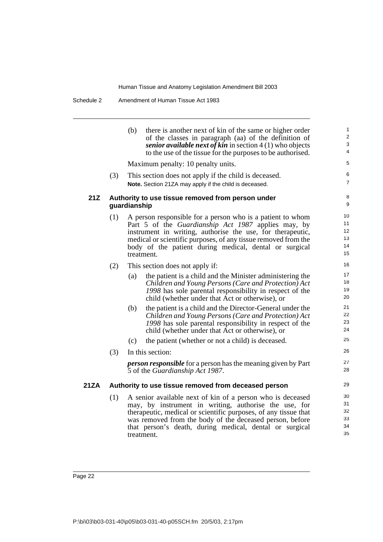#### Schedule 2 Amendment of Human Tissue Act 1983

|        |     | (b)<br>there is another next of kin of the same or higher order<br>of the classes in paragraph (aa) of the definition of<br>senior available next of kin in section $4(1)$ who objects<br>to the use of the tissue for the purposes to be authorised.                                                                            | 1<br>$\overline{\mathbf{c}}$<br>3<br>4 |
|--------|-----|----------------------------------------------------------------------------------------------------------------------------------------------------------------------------------------------------------------------------------------------------------------------------------------------------------------------------------|----------------------------------------|
|        |     | Maximum penalty: 10 penalty units.                                                                                                                                                                                                                                                                                               | 5                                      |
|        | (3) | This section does not apply if the child is deceased.<br>Note. Section 21ZA may apply if the child is deceased.                                                                                                                                                                                                                  | 6<br>7                                 |
| 21Z    |     | Authority to use tissue removed from person under<br>guardianship                                                                                                                                                                                                                                                                | 8<br>9                                 |
|        | (1) | A person responsible for a person who is a patient to whom<br>Part 5 of the <i>Guardianship Act 1987</i> applies may, by<br>instrument in writing, authorise the use, for therapeutic,<br>medical or scientific purposes, of any tissue removed from the<br>body of the patient during medical, dental or surgical<br>treatment. | 10<br>11<br>12<br>13<br>14<br>15       |
|        | (2) | This section does not apply if:<br>the patient is a child and the Minister administering the<br>(a)<br>Children and Young Persons (Care and Protection) Act<br>1998 has sole parental responsibility in respect of the<br>child (whether under that Act or otherwise), or                                                        | 16<br>17<br>18<br>19<br>20             |
|        |     | (b)<br>the patient is a child and the Director-General under the<br>Children and Young Persons (Care and Protection) Act<br>1998 has sole parental responsibility in respect of the<br>child (whether under that Act or otherwise), or<br>(c)<br>the patient (whether or not a child) is deceased.                               | 21<br>22<br>23<br>24<br>25             |
|        | (3) | In this section:                                                                                                                                                                                                                                                                                                                 | 26                                     |
|        |     | <i>person responsible</i> for a person has the meaning given by Part<br>5 of the <i>Guardianship Act 1987</i> .                                                                                                                                                                                                                  | 27<br>28                               |
| 21 Z A |     | Authority to use tissue removed from deceased person                                                                                                                                                                                                                                                                             | 29                                     |
|        | (1) | A senior available next of kin of a person who is deceased<br>may, by instrument in writing, authorise the use, for<br>therapeutic, medical or scientific purposes, of any tissue that<br>was removed from the body of the deceased person, before<br>that person's death, during medical, dental or surgical<br>treatment.      | 30<br>31<br>32<br>33<br>34<br>35       |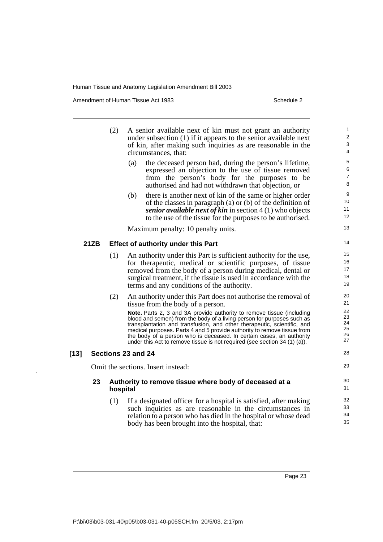Amendment of Human Tissue Act 1983 Schedule 2

 $\ddot{\phantom{a}}$ 

|        |      | (2)      | A senior available next of kin must not grant an authority                                                                                        | $\mathbf{1}$                                  |
|--------|------|----------|---------------------------------------------------------------------------------------------------------------------------------------------------|-----------------------------------------------|
|        |      |          | under subsection $(1)$ if it appears to the senior available next                                                                                 | $\boldsymbol{2}$<br>$\ensuremath{\mathsf{3}}$ |
|        |      |          | of kin, after making such inquiries as are reasonable in the<br>circumstances, that:                                                              | 4                                             |
|        |      |          |                                                                                                                                                   | $\overline{5}$                                |
|        |      |          | the deceased person had, during the person's lifetime,<br>(a)<br>expressed an objection to the use of tissue removed                              | $\,6$                                         |
|        |      |          | from the person's body for the purposes to be                                                                                                     | $\boldsymbol{7}$                              |
|        |      |          | authorised and had not withdrawn that objection, or                                                                                               | 8                                             |
|        |      |          | there is another next of kin of the same or higher order<br>(b)                                                                                   | 9                                             |
|        |      |          | of the classes in paragraph (a) or (b) of the definition of                                                                                       | 10                                            |
|        |      |          | senior available next of kin in section $4(1)$ who objects                                                                                        | 11                                            |
|        |      |          | to the use of the tissue for the purposes to be authorised.                                                                                       | 12                                            |
|        |      |          | Maximum penalty: 10 penalty units.                                                                                                                | 13                                            |
|        | 21ZB |          | <b>Effect of authority under this Part</b>                                                                                                        | 14                                            |
|        |      | (1)      | An authority under this Part is sufficient authority for the use,                                                                                 | 15                                            |
|        |      |          | for therapeutic, medical or scientific purposes, of tissue                                                                                        | 16                                            |
|        |      |          | removed from the body of a person during medical, dental or                                                                                       | 17                                            |
|        |      |          | surgical treatment, if the tissue is used in accordance with the                                                                                  | 18                                            |
|        |      |          | terms and any conditions of the authority.                                                                                                        | 19                                            |
|        |      | (2)      | An authority under this Part does not authorise the removal of                                                                                    | 20                                            |
|        |      |          | tissue from the body of a person.                                                                                                                 | 21                                            |
|        |      |          | <b>Note.</b> Parts 2, 3 and 3A provide authority to remove tissue (including                                                                      | 22<br>23                                      |
|        |      |          | blood and semen) from the body of a living person for purposes such as<br>transplantation and transfusion, and other therapeutic, scientific, and | 24                                            |
|        |      |          | medical purposes. Parts 4 and 5 provide authority to remove tissue from                                                                           | 25                                            |
|        |      |          | the body of a person who is deceased. In certain cases, an authority                                                                              | 26<br>27                                      |
| $[13]$ |      |          | under this Act to remove tissue is not required (see section 34 (1) (a)).<br>Sections 23 and 24                                                   | 28                                            |
|        |      |          |                                                                                                                                                   |                                               |
|        |      |          | Omit the sections. Insert instead:                                                                                                                | 29                                            |
|        | 23   |          | Authority to remove tissue where body of deceased at a                                                                                            | 30                                            |
|        |      | hospital |                                                                                                                                                   | 31                                            |
|        |      | (1)      | If a designated officer for a hospital is satisfied, after making                                                                                 | 32                                            |
|        |      |          | such inquiries as are reasonable in the circumstances in                                                                                          | 33                                            |
|        |      |          | relation to a person who has died in the hospital or whose dead                                                                                   | 34                                            |
|        |      |          | body has been brought into the hospital, that:                                                                                                    | 35                                            |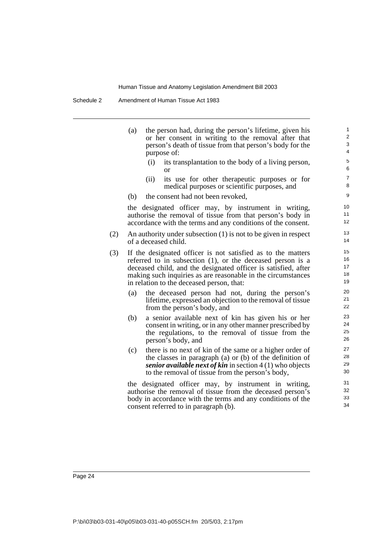|     | (a) | the person had, during the person's lifetime, given his<br>or her consent in writing to the removal after that<br>person's death of tissue from that person's body for the<br>purpose of:<br>(i)<br>its transplantation to the body of a living person,                                                   | 1<br>$\overline{\mathbf{c}}$<br>3<br>$\overline{\mathbf{4}}$<br>5 |
|-----|-----|-----------------------------------------------------------------------------------------------------------------------------------------------------------------------------------------------------------------------------------------------------------------------------------------------------------|-------------------------------------------------------------------|
|     |     | or                                                                                                                                                                                                                                                                                                        | 6                                                                 |
|     |     | its use for other therapeutic purposes or for<br>(ii)<br>medical purposes or scientific purposes, and                                                                                                                                                                                                     | 7<br>8                                                            |
|     | (b) | the consent had not been revoked,                                                                                                                                                                                                                                                                         | 9                                                                 |
|     |     | the designated officer may, by instrument in writing,<br>authorise the removal of tissue from that person's body in<br>accordance with the terms and any conditions of the consent.                                                                                                                       | 10<br>11<br>12                                                    |
| (2) |     | An authority under subsection $(1)$ is not to be given in respect<br>of a deceased child.                                                                                                                                                                                                                 | 13<br>14                                                          |
| (3) |     | If the designated officer is not satisfied as to the matters<br>referred to in subsection (1), or the deceased person is a<br>deceased child, and the designated officer is satisfied, after<br>making such inquiries as are reasonable in the circumstances<br>in relation to the deceased person, that: | 15<br>16<br>17<br>18<br>19                                        |
|     | (a) | the deceased person had not, during the person's<br>lifetime, expressed an objection to the removal of tissue<br>from the person's body, and                                                                                                                                                              | 20<br>21<br>22                                                    |
|     | (b) | a senior available next of kin has given his or her<br>consent in writing, or in any other manner prescribed by<br>the regulations, to the removal of tissue from the<br>person's body, and                                                                                                               | 23<br>24<br>25<br>26                                              |
|     | (c) | there is no next of kin of the same or a higher order of<br>the classes in paragraph (a) or (b) of the definition of<br><i>senior available next of kin</i> in section $4(1)$ who objects<br>to the removal of tissue from the person's body,                                                             | 27<br>28<br>29<br>30                                              |
|     |     | the designated officer may, by instrument in writing,<br>authorise the removal of tissue from the deceased person's<br>body in accordance with the terms and any conditions of the<br>consent referred to in paragraph (b).                                                                               | 31<br>32<br>33<br>34                                              |
|     |     |                                                                                                                                                                                                                                                                                                           |                                                                   |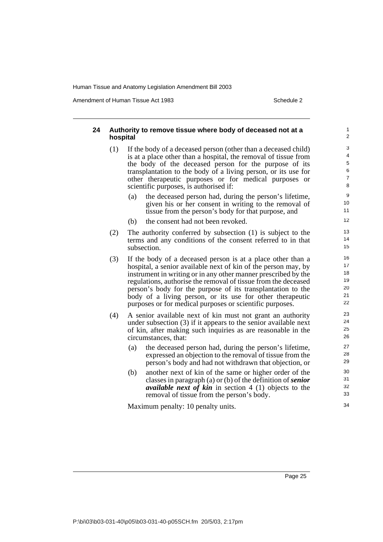Amendment of Human Tissue Act 1983 Schedule 2

#### **24 Authority to remove tissue where body of deceased not at a hospital**

- (1) If the body of a deceased person (other than a deceased child) is at a place other than a hospital, the removal of tissue from the body of the deceased person for the purpose of its transplantation to the body of a living person, or its use for other therapeutic purposes or for medical purposes or scientific purposes, is authorised if:
	- (a) the deceased person had, during the person's lifetime, given his or her consent in writing to the removal of tissue from the person's body for that purpose, and
	- (b) the consent had not been revoked.
- (2) The authority conferred by subsection (1) is subject to the terms and any conditions of the consent referred to in that subsection.
- (3) If the body of a deceased person is at a place other than a hospital, a senior available next of kin of the person may, by instrument in writing or in any other manner prescribed by the regulations, authorise the removal of tissue from the deceased person's body for the purpose of its transplantation to the body of a living person, or its use for other therapeutic purposes or for medical purposes or scientific purposes.
- (4) A senior available next of kin must not grant an authority under subsection (3) if it appears to the senior available next of kin, after making such inquiries as are reasonable in the circumstances, that:
	- (a) the deceased person had, during the person's lifetime, expressed an objection to the removal of tissue from the person's body and had not withdrawn that objection, or
	- (b) another next of kin of the same or higher order of the classes in paragraph (a) or (b) of the definition of *senior available next of kin* in section 4 (1) objects to the removal of tissue from the person's body.

Maximum penalty: 10 penalty units.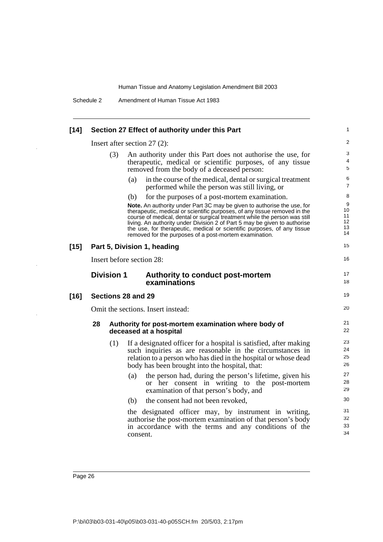Schedule 2 Amendment of Human Tissue Act 1983

| $[14]$ |    |                   | Section 27 Effect of authority under this Part                                                                                                                                                                                                                                                                                                                                                                                                                                                                | 1                                    |
|--------|----|-------------------|---------------------------------------------------------------------------------------------------------------------------------------------------------------------------------------------------------------------------------------------------------------------------------------------------------------------------------------------------------------------------------------------------------------------------------------------------------------------------------------------------------------|--------------------------------------|
|        |    |                   | Insert after section $27(2)$ :                                                                                                                                                                                                                                                                                                                                                                                                                                                                                | $\overline{c}$                       |
|        |    | (3)               | An authority under this Part does not authorise the use, for<br>therapeutic, medical or scientific purposes, of any tissue<br>removed from the body of a deceased person:                                                                                                                                                                                                                                                                                                                                     | 3<br>4<br>5                          |
|        |    |                   | (a)<br>in the course of the medical, dental or surgical treatment<br>performed while the person was still living, or                                                                                                                                                                                                                                                                                                                                                                                          | 6<br>7                               |
|        |    |                   | (b)<br>for the purposes of a post-mortem examination.<br>Note. An authority under Part 3C may be given to authorise the use, for<br>therapeutic, medical or scientific purposes, of any tissue removed in the<br>course of medical, dental or surgical treatment while the person was still<br>living. An authority under Division 2 of Part 5 may be given to authorise<br>the use, for therapeutic, medical or scientific purposes, of any tissue<br>removed for the purposes of a post-mortem examination. | 8<br>9<br>10<br>11<br>12<br>13<br>14 |
| $[15]$ |    |                   | Part 5, Division 1, heading                                                                                                                                                                                                                                                                                                                                                                                                                                                                                   | 15                                   |
|        |    |                   | Insert before section 28:                                                                                                                                                                                                                                                                                                                                                                                                                                                                                     | 16                                   |
|        |    | <b>Division 1</b> | <b>Authority to conduct post-mortem</b><br>examinations                                                                                                                                                                                                                                                                                                                                                                                                                                                       | 17<br>18                             |
| $[16]$ |    |                   | Sections 28 and 29                                                                                                                                                                                                                                                                                                                                                                                                                                                                                            | 19                                   |
|        |    |                   | Omit the sections. Insert instead:                                                                                                                                                                                                                                                                                                                                                                                                                                                                            | 20                                   |
|        | 28 |                   | Authority for post-mortem examination where body of<br>deceased at a hospital                                                                                                                                                                                                                                                                                                                                                                                                                                 | 21<br>22                             |
|        |    | (1)               | If a designated officer for a hospital is satisfied, after making<br>such inquiries as are reasonable in the circumstances in<br>relation to a person who has died in the hospital or whose dead<br>body has been brought into the hospital, that:                                                                                                                                                                                                                                                            | 23<br>24<br>25<br>26                 |
|        |    |                   | the person had, during the person's lifetime, given his<br>(a)<br>or her consent in writing to the post-mortem<br>examination of that person's body, and                                                                                                                                                                                                                                                                                                                                                      | 27<br>28<br>29                       |
|        |    |                   | the consent had not been revoked,<br>(b)                                                                                                                                                                                                                                                                                                                                                                                                                                                                      | 30                                   |
|        |    |                   | the designated officer may, by instrument in writing,<br>authorise the post-mortem examination of that person's body<br>in accordance with the terms and any conditions of the<br>consent.                                                                                                                                                                                                                                                                                                                    | 31<br>32<br>33<br>34                 |
|        |    |                   |                                                                                                                                                                                                                                                                                                                                                                                                                                                                                                               |                                      |

l,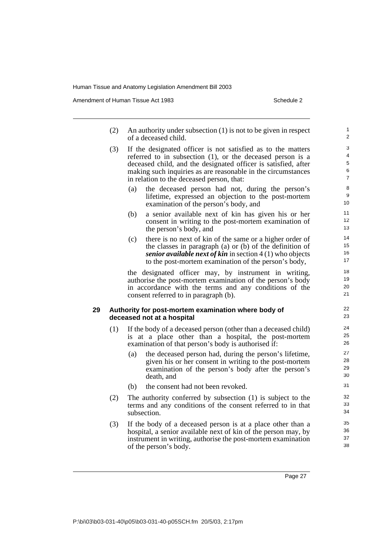Amendment of Human Tissue Act 1983 Schedule 2

- (2) An authority under subsection (1) is not to be given in respect of a deceased child.
- (3) If the designated officer is not satisfied as to the matters referred to in subsection (1), or the deceased person is a deceased child, and the designated officer is satisfied, after making such inquiries as are reasonable in the circumstances in relation to the deceased person, that:
	- (a) the deceased person had not, during the person's lifetime, expressed an objection to the post-mortem examination of the person's body, and
	- (b) a senior available next of kin has given his or her consent in writing to the post-mortem examination of the person's body, and
	- (c) there is no next of kin of the same or a higher order of the classes in paragraph (a) or (b) of the definition of *senior available next of kin* in section 4 (1) who objects to the post-mortem examination of the person's body,

the designated officer may, by instrument in writing, authorise the post-mortem examination of the person's body in accordance with the terms and any conditions of the consent referred to in paragraph (b).

#### **29 Authority for post-mortem examination where body of deceased not at a hospital**

- (1) If the body of a deceased person (other than a deceased child) is at a place other than a hospital, the post-mortem examination of that person's body is authorised if:
	- (a) the deceased person had, during the person's lifetime, given his or her consent in writing to the post-mortem examination of the person's body after the person's death, and
	- (b) the consent had not been revoked.
- (2) The authority conferred by subsection (1) is subject to the terms and any conditions of the consent referred to in that subsection.
- (3) If the body of a deceased person is at a place other than a hospital, a senior available next of kin of the person may, by instrument in writing, authorise the post-mortem examination of the person's body.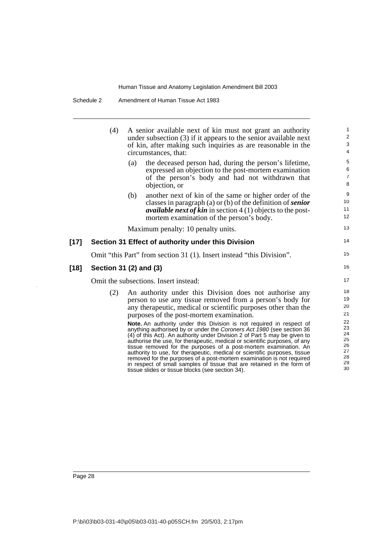|      | (4)                                                | A senior available next of kin must not grant an authority<br>under subsection $(3)$ if it appears to the senior available next<br>of kin, after making such inquiries as are reasonable in the<br>circumstances, that:                                                                                                                                                                                                                                                                                                                                                                                                                                                | $\mathbf{1}$<br>$\boldsymbol{2}$<br>3<br>$\overline{4}$ |  |  |
|------|----------------------------------------------------|------------------------------------------------------------------------------------------------------------------------------------------------------------------------------------------------------------------------------------------------------------------------------------------------------------------------------------------------------------------------------------------------------------------------------------------------------------------------------------------------------------------------------------------------------------------------------------------------------------------------------------------------------------------------|---------------------------------------------------------|--|--|
|      |                                                    | the deceased person had, during the person's lifetime,<br>(a)<br>expressed an objection to the post-mortem examination<br>of the person's body and had not withdrawn that<br>objection, or                                                                                                                                                                                                                                                                                                                                                                                                                                                                             | $\,$ 5 $\,$<br>6<br>$\overline{7}$<br>8                 |  |  |
|      |                                                    | another next of kin of the same or higher order of the<br>(b)<br>classes in paragraph (a) or (b) of the definition of <i>senior</i><br><i>available next of kin</i> in section $4(1)$ objects to the post-<br>mortem examination of the person's body.                                                                                                                                                                                                                                                                                                                                                                                                                 | 9<br>10<br>11<br>12                                     |  |  |
|      |                                                    | Maximum penalty: 10 penalty units.                                                                                                                                                                                                                                                                                                                                                                                                                                                                                                                                                                                                                                     | 13                                                      |  |  |
| [17] | Section 31 Effect of authority under this Division |                                                                                                                                                                                                                                                                                                                                                                                                                                                                                                                                                                                                                                                                        |                                                         |  |  |
|      |                                                    | Omit "this Part" from section 31 (1). Insert instead "this Division".                                                                                                                                                                                                                                                                                                                                                                                                                                                                                                                                                                                                  | 15                                                      |  |  |
| [18] |                                                    | Section 31 (2) and (3)                                                                                                                                                                                                                                                                                                                                                                                                                                                                                                                                                                                                                                                 | 16                                                      |  |  |
|      |                                                    | Omit the subsections. Insert instead:                                                                                                                                                                                                                                                                                                                                                                                                                                                                                                                                                                                                                                  | 17                                                      |  |  |
|      | (2)                                                | An authority under this Division does not authorise any<br>person to use any tissue removed from a person's body for<br>any therapeutic, medical or scientific purposes other than the<br>purposes of the post-mortem examination.                                                                                                                                                                                                                                                                                                                                                                                                                                     | 18<br>19<br>20<br>21                                    |  |  |
|      |                                                    | <b>Note.</b> An authority under this Division is not required in respect of<br>anything authorised by or under the Coroners Act 1980 (see section 36<br>(4) of this Act). An authority under Division 2 of Part 5 may be given to<br>authorise the use, for therapeutic, medical or scientific purposes, of any<br>tissue removed for the purposes of a post-mortem examination. An<br>authority to use, for therapeutic, medical or scientific purposes, tissue<br>removed for the purposes of a post-mortem examination is not required<br>in respect of small samples of tissue that are retained in the form of<br>tissue slides or tissue blocks (see section 34) | 22<br>23<br>24<br>25<br>26<br>27<br>28<br>29<br>30      |  |  |

tissue slides or tissue blocks (see section 34).

 $[18]$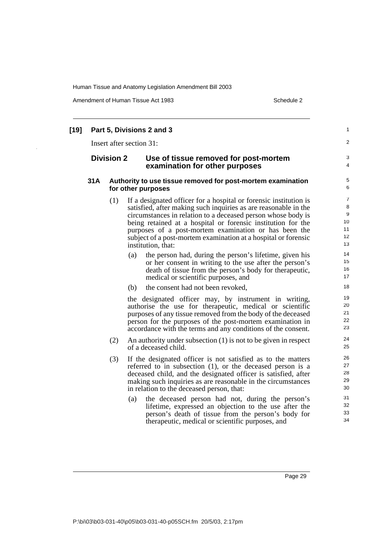Amendment of Human Tissue Act 1983 Schedule 2

| $[19]$ |            |                   | Part 5, Divisions 2 and 3                                                                                                                                                                                                                                                                                                                                                                                             |                            |  |  |  |
|--------|------------|-------------------|-----------------------------------------------------------------------------------------------------------------------------------------------------------------------------------------------------------------------------------------------------------------------------------------------------------------------------------------------------------------------------------------------------------------------|----------------------------|--|--|--|
|        |            |                   | Insert after section 31:                                                                                                                                                                                                                                                                                                                                                                                              | $\overline{c}$             |  |  |  |
|        |            | <b>Division 2</b> | Use of tissue removed for post-mortem<br>examination for other purposes                                                                                                                                                                                                                                                                                                                                               | 3<br>4                     |  |  |  |
|        | 31A        |                   | Authority to use tissue removed for post-mortem examination<br>for other purposes                                                                                                                                                                                                                                                                                                                                     |                            |  |  |  |
| (1)    |            |                   | If a designated officer for a hospital or forensic institution is<br>satisfied, after making such inquiries as are reasonable in the<br>circumstances in relation to a deceased person whose body is<br>being retained at a hospital or forensic institution for the<br>purposes of a post-mortem examination or has been the<br>subject of a post-mortem examination at a hospital or forensic<br>institution, that: |                            |  |  |  |
|        |            |                   | the person had, during the person's lifetime, given his<br>(a)<br>or her consent in writing to the use after the person's<br>death of tissue from the person's body for the rapeutic,<br>medical or scientific purposes, and                                                                                                                                                                                          | 14<br>15<br>16<br>17       |  |  |  |
| (b)    |            |                   | the consent had not been revoked,                                                                                                                                                                                                                                                                                                                                                                                     | 18                         |  |  |  |
|        |            |                   | the designated officer may, by instrument in writing,<br>authorise the use for the rapeutic, medical or scientific<br>purposes of any tissue removed from the body of the deceased<br>person for the purposes of the post-mortem examination in<br>accordance with the terms and any conditions of the consent.                                                                                                       | 19<br>20<br>21<br>22<br>23 |  |  |  |
|        | (2)<br>(3) |                   | An authority under subsection $(1)$ is not to be given in respect<br>of a deceased child.                                                                                                                                                                                                                                                                                                                             | 24<br>25                   |  |  |  |
|        |            |                   | If the designated officer is not satisfied as to the matters<br>referred to in subsection (1), or the deceased person is a<br>deceased child, and the designated officer is satisfied, after<br>making such inquiries as are reasonable in the circumstances<br>in relation to the deceased person, that:                                                                                                             | 26<br>27<br>28<br>29<br>30 |  |  |  |
|        |            |                   | (a)<br>the deceased person had not, during the person's<br>lifetime, expressed an objection to the use after the<br>person's death of tissue from the person's body for<br>therapeutic, medical or scientific purposes, and                                                                                                                                                                                           | 31<br>32<br>33<br>34       |  |  |  |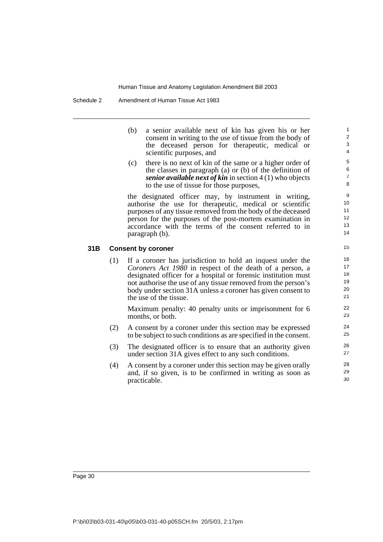(b) a senior available next of kin has given his or her consent in writing to the use of tissue from the body of the deceased person for therapeutic, medical or scientific purposes, and

(c) there is no next of kin of the same or a higher order of the classes in paragraph (a) or (b) of the definition of *senior available next of kin* in section 4 (1) who objects to the use of tissue for those purposes,

the designated officer may, by instrument in writing, authorise the use for therapeutic, medical or scientific purposes of any tissue removed from the body of the deceased person for the purposes of the post-mortem examination in accordance with the terms of the consent referred to in paragraph (b).

#### **31B Consent by coroner**

(1) If a coroner has jurisdiction to hold an inquest under the *Coroners Act 1980* in respect of the death of a person, a designated officer for a hospital or forensic institution must not authorise the use of any tissue removed from the person's body under section 31A unless a coroner has given consent to the use of the tissue.

Maximum penalty: 40 penalty units or imprisonment for 6 months, or both.

- (2) A consent by a coroner under this section may be expressed to be subject to such conditions as are specified in the consent.
- (3) The designated officer is to ensure that an authority given under section 31A gives effect to any such conditions.
- (4) A consent by a coroner under this section may be given orally and, if so given, is to be confirmed in writing as soon as practicable.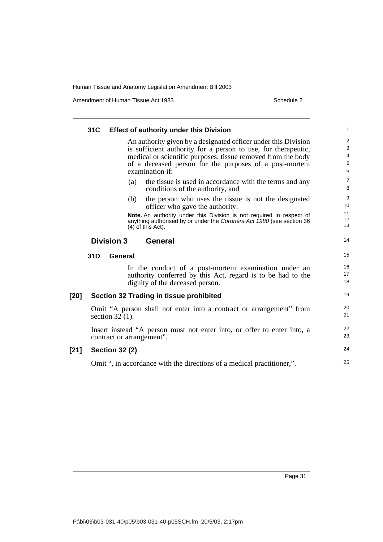Amendment of Human Tissue Act 1983 Schedule 2

|      | 31C                   | <b>Effect of authority under this Division</b>                                                                                                                                                                                                                               | $\mathbf{1}$                                             |
|------|-----------------------|------------------------------------------------------------------------------------------------------------------------------------------------------------------------------------------------------------------------------------------------------------------------------|----------------------------------------------------------|
|      |                       | An authority given by a designated officer under this Division<br>is sufficient authority for a person to use, for therapeutic,<br>medical or scientific purposes, tissue removed from the body<br>of a deceased person for the purposes of a post-mortem<br>examination if: | $\overline{2}$<br>3<br>$\overline{4}$<br>$\sqrt{5}$<br>6 |
|      |                       | (a)<br>the tissue is used in accordance with the terms and any<br>conditions of the authority, and                                                                                                                                                                           | $\overline{7}$<br>8                                      |
|      |                       | the person who uses the tissue is not the designated<br>(b)<br>officer who gave the authority.                                                                                                                                                                               | 9<br>10                                                  |
|      |                       | Note. An authority under this Division is not required in respect of<br>anything authorised by or under the Coroners Act 1980 (see section 36<br>$(4)$ of this Act).                                                                                                         | 11<br>12<br>13                                           |
|      | <b>Division 3</b>     | <b>General</b>                                                                                                                                                                                                                                                               | 14                                                       |
|      | 31D                   | <b>General</b>                                                                                                                                                                                                                                                               | 15                                                       |
|      |                       | In the conduct of a post-mortem examination under an<br>authority conferred by this Act, regard is to be had to the<br>dignity of the deceased person.                                                                                                                       | 16<br>17<br>18                                           |
| [20] |                       | Section 32 Trading in tissue prohibited                                                                                                                                                                                                                                      | 19                                                       |
|      | section $32(1)$ .     | Omit "A person shall not enter into a contract or arrangement" from                                                                                                                                                                                                          | 20<br>21                                                 |
|      |                       | Insert instead "A person must not enter into, or offer to enter into, a<br>contract or arrangement".                                                                                                                                                                         | 22<br>23                                                 |
| [21] | <b>Section 32 (2)</b> |                                                                                                                                                                                                                                                                              | 24                                                       |
|      |                       | Omit ", in accordance with the directions of a medical practitioner,".                                                                                                                                                                                                       | 25                                                       |
|      |                       |                                                                                                                                                                                                                                                                              |                                                          |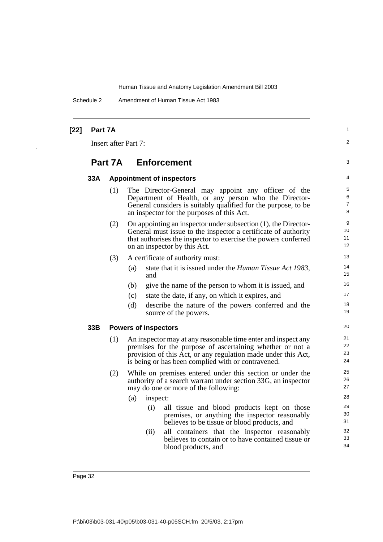Schedule 2 Amendment of Human Tissue Act 1983

| $[22]$ | Part 7A |     |                                                                                                                                                                                                                                                   |  |  |  |
|--------|---------|-----|---------------------------------------------------------------------------------------------------------------------------------------------------------------------------------------------------------------------------------------------------|--|--|--|
|        |         |     | <b>Insert after Part 7:</b>                                                                                                                                                                                                                       |  |  |  |
|        |         |     | <b>Part 7A</b> Enforcement                                                                                                                                                                                                                        |  |  |  |
|        | 33A     |     | <b>Appointment of inspectors</b>                                                                                                                                                                                                                  |  |  |  |
|        |         | (1) | The Director-General may appoint any officer of the<br>Department of Health, or any person who the Director-<br>General considers is suitably qualified for the purpose, to be<br>an inspector for the purposes of this Act.                      |  |  |  |
|        |         | (2) | On appointing an inspector under subsection $(1)$ , the Director-<br>General must issue to the inspector a certificate of authority<br>that authorises the inspector to exercise the powers conferred<br>on an inspector by this Act.             |  |  |  |
|        |         | (3) | A certificate of authority must:                                                                                                                                                                                                                  |  |  |  |
|        |         |     | state that it is issued under the <i>Human Tissue Act 1983</i> ,<br>(a)<br>and                                                                                                                                                                    |  |  |  |
|        |         |     | give the name of the person to whom it is issued, and<br>(b)                                                                                                                                                                                      |  |  |  |
|        |         |     | state the date, if any, on which it expires, and<br>(c)                                                                                                                                                                                           |  |  |  |
|        |         |     | (d)<br>describe the nature of the powers conferred and the<br>source of the powers.                                                                                                                                                               |  |  |  |
|        | 33B     |     | <b>Powers of inspectors</b>                                                                                                                                                                                                                       |  |  |  |
|        |         | (1) | An inspector may at any reasonable time enter and inspect any<br>premises for the purpose of ascertaining whether or not a<br>provision of this Act, or any regulation made under this Act,<br>is being or has been complied with or contravened. |  |  |  |
|        |         | (2) | While on premises entered under this section or under the<br>authority of a search warrant under section 33G, an inspector<br>may do one or more of the following:                                                                                |  |  |  |
|        |         |     | (a)<br>inspect:                                                                                                                                                                                                                                   |  |  |  |
|        |         |     | (i)<br>all tissue and blood products kept on those<br>premises, or anything the inspector reasonably<br>believes to be tissue or blood products, and                                                                                              |  |  |  |
|        |         |     | all containers that the inspector reasonably<br>(ii)<br>believes to contain or to have contained tissue or<br>blood products, and                                                                                                                 |  |  |  |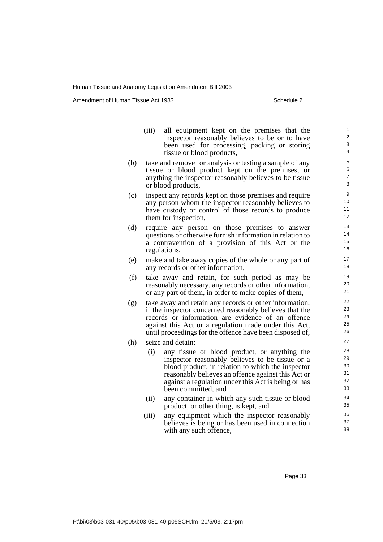Amendment of Human Tissue Act 1983 Schedule 2

- (iii) all equipment kept on the premises that the inspector reasonably believes to be or to have been used for processing, packing or storing tissue or blood products, (b) take and remove for analysis or testing a sample of any tissue or blood product kept on the premises, or anything the inspector reasonably believes to be tissue or blood products, (c) inspect any records kept on those premises and require any person whom the inspector reasonably believes to have custody or control of those records to produce them for inspection, (d) require any person on those premises to answer questions or otherwise furnish information in relation to a contravention of a provision of this Act or the regulations, (e) make and take away copies of the whole or any part of any records or other information, (f) take away and retain, for such period as may be reasonably necessary, any records or other information, or any part of them, in order to make copies of them, (g) take away and retain any records or other information, if the inspector concerned reasonably believes that the records or information are evidence of an offence against this Act or a regulation made under this Act, until proceedings for the offence have been disposed of, (h) seize and detain: (i) any tissue or blood product, or anything the inspector reasonably believes to be tissue or a blood product, in relation to which the inspector reasonably believes an offence against this Act or against a regulation under this Act is being or has been committed, and (ii) any container in which any such tissue or blood product, or other thing, is kept, and
	- (iii) any equipment which the inspector reasonably believes is being or has been used in connection with any such offence,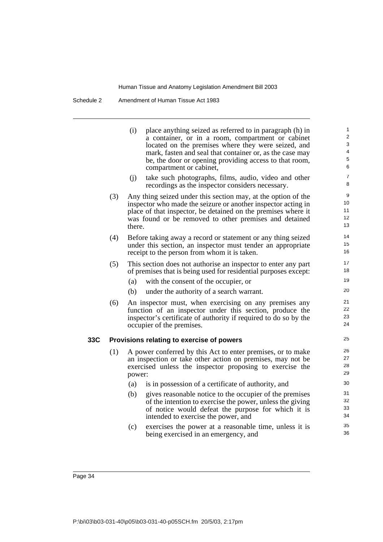|     |     | (i)<br>place anything seized as referred to in paragraph (h) in<br>a container, or in a room, compartment or cabinet<br>located on the premises where they were seized, and<br>mark, fasten and seal that container or, as the case may<br>be, the door or opening providing access to that room,<br>compartment or cabinet,<br>take such photographs, films, audio, video and other<br>(i)<br>recordings as the inspector considers necessary. | 1<br>$\overline{2}$<br>3<br>$\overline{4}$<br>5<br>6<br>$\overline{7}$<br>8 |
|-----|-----|-------------------------------------------------------------------------------------------------------------------------------------------------------------------------------------------------------------------------------------------------------------------------------------------------------------------------------------------------------------------------------------------------------------------------------------------------|-----------------------------------------------------------------------------|
|     | (3) | Any thing seized under this section may, at the option of the<br>inspector who made the seizure or another inspector acting in<br>place of that inspector, be detained on the premises where it<br>was found or be removed to other premises and detained<br>there.                                                                                                                                                                             | 9<br>10<br>11<br>12<br>13                                                   |
|     | (4) | Before taking away a record or statement or any thing seized<br>under this section, an inspector must tender an appropriate<br>receipt to the person from whom it is taken.                                                                                                                                                                                                                                                                     | 14<br>15<br>16                                                              |
|     | (5) | This section does not authorise an inspector to enter any part<br>of premises that is being used for residential purposes except:<br>(a)<br>with the consent of the occupier, or<br>under the authority of a search warrant.<br>(b)                                                                                                                                                                                                             | 17<br>18<br>19<br>20                                                        |
|     | (6) | An inspector must, when exercising on any premises any<br>function of an inspector under this section, produce the<br>inspector's certificate of authority if required to do so by the<br>occupier of the premises.                                                                                                                                                                                                                             | 21<br>22<br>23<br>24                                                        |
| 33C |     | Provisions relating to exercise of powers                                                                                                                                                                                                                                                                                                                                                                                                       | 25                                                                          |
|     | (1) | A power conferred by this Act to enter premises, or to make<br>an inspection or take other action on premises, may not be<br>exercised unless the inspector proposing to exercise the<br>power:                                                                                                                                                                                                                                                 | 26<br>27<br>28<br>29                                                        |
|     |     | (a)<br>is in possession of a certificate of authority, and                                                                                                                                                                                                                                                                                                                                                                                      | 30                                                                          |
|     |     | (b)<br>gives reasonable notice to the occupier of the premises<br>of the intention to exercise the power, unless the giving<br>of notice would defeat the purpose for which it is<br>intended to exercise the power, and                                                                                                                                                                                                                        | 31<br>32<br>33<br>34                                                        |
|     |     | exercises the power at a reasonable time, unless it is<br>(c)<br>being exercised in an emergency, and                                                                                                                                                                                                                                                                                                                                           | 35<br>36                                                                    |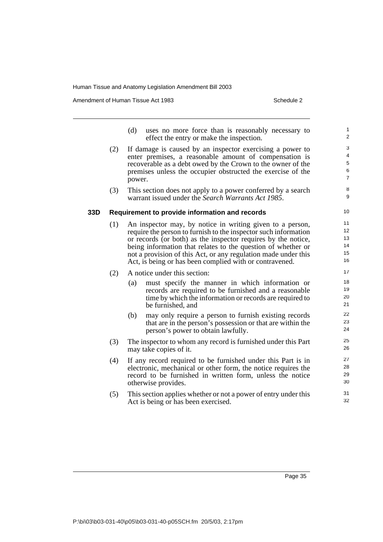Amendment of Human Tissue Act 1983 Schedule 2

- (d) uses no more force than is reasonably necessary to effect the entry or make the inspection.
- (2) If damage is caused by an inspector exercising a power to enter premises, a reasonable amount of compensation is recoverable as a debt owed by the Crown to the owner of the premises unless the occupier obstructed the exercise of the power.
- (3) This section does not apply to a power conferred by a search warrant issued under the *Search Warrants Act 1985*.

#### **33D Requirement to provide information and records**

(1) An inspector may, by notice in writing given to a person, require the person to furnish to the inspector such information or records (or both) as the inspector requires by the notice, being information that relates to the question of whether or not a provision of this Act, or any regulation made under this Act, is being or has been complied with or contravened.

#### (2) A notice under this section:

- (a) must specify the manner in which information or records are required to be furnished and a reasonable time by which the information or records are required to be furnished, and
- (b) may only require a person to furnish existing records that are in the person's possession or that are within the person's power to obtain lawfully.
- (3) The inspector to whom any record is furnished under this Part may take copies of it.
- (4) If any record required to be furnished under this Part is in electronic, mechanical or other form, the notice requires the record to be furnished in written form, unless the notice otherwise provides.
- (5) This section applies whether or not a power of entry under this Act is being or has been exercised.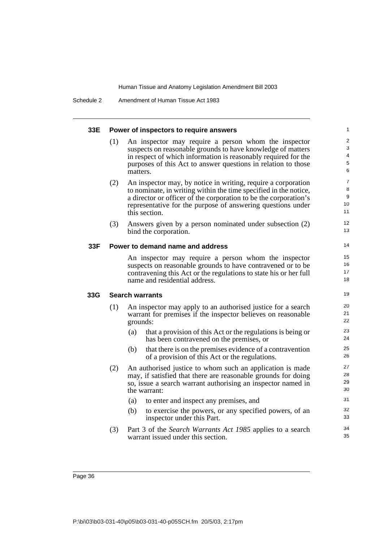#### **33E Power of inspectors to require answers** (1) An inspector may require a person whom the inspector suspects on reasonable grounds to have knowledge of matters in respect of which information is reasonably required for the purposes of this Act to answer questions in relation to those matters. (2) An inspector may, by notice in writing, require a corporation to nominate, in writing within the time specified in the notice, a director or officer of the corporation to be the corporation's representative for the purpose of answering questions under this section. (3) Answers given by a person nominated under subsection (2) bind the corporation. **33F Power to demand name and address** An inspector may require a person whom the inspector suspects on reasonable grounds to have contravened or to be contravening this Act or the regulations to state his or her full name and residential address. **33G Search warrants** (1) An inspector may apply to an authorised justice for a search warrant for premises if the inspector believes on reasonable grounds: (a) that a provision of this Act or the regulations is being or has been contravened on the premises, or (b) that there is on the premises evidence of a contravention of a provision of this Act or the regulations. (2) An authorised justice to whom such an application is made may, if satisfied that there are reasonable grounds for doing so, issue a search warrant authorising an inspector named in the warrant: (a) to enter and inspect any premises, and (b) to exercise the powers, or any specified powers, of an inspector under this Part. (3) Part 3 of the *Search Warrants Act 1985* applies to a search warrant issued under this section. 1 2 3 4 5 6 7 8 9 10 11 12 13 14 15 16 17 18 19 20 21 22 23 24 25 26 27 28 29 30 31 32 33 34 35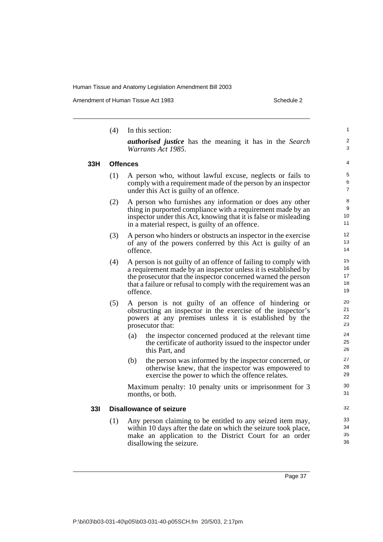Amendment of Human Tissue Act 1983 Schedule 2

|            | (4) | In this section:                                                                                                                                                                                                                                                                 | 1                            |
|------------|-----|----------------------------------------------------------------------------------------------------------------------------------------------------------------------------------------------------------------------------------------------------------------------------------|------------------------------|
|            |     | <i>authorised justice</i> has the meaning it has in the Search<br><i>Warrants Act 1985.</i>                                                                                                                                                                                      | $\overline{\mathbf{c}}$<br>3 |
| 33H        |     | <b>Offences</b>                                                                                                                                                                                                                                                                  | 4                            |
|            | (1) | A person who, without lawful excuse, neglects or fails to<br>comply with a requirement made of the person by an inspector<br>under this Act is guilty of an offence.                                                                                                             | 5<br>6<br>7                  |
|            | (2) | A person who furnishes any information or does any other<br>thing in purported compliance with a requirement made by an<br>inspector under this Act, knowing that it is false or misleading<br>in a material respect, is guilty of an offence.                                   | 8<br>9<br>10<br>11           |
|            | (3) | A person who hinders or obstructs an inspector in the exercise<br>of any of the powers conferred by this Act is guilty of an<br>offence.                                                                                                                                         | 12<br>13<br>14               |
|            | (4) | A person is not guilty of an offence of failing to comply with<br>a requirement made by an inspector unless it is established by<br>the prosecutor that the inspector concerned warned the person<br>that a failure or refusal to comply with the requirement was an<br>offence. | 15<br>16<br>17<br>18<br>19   |
|            | (5) | A person is not guilty of an offence of hindering or<br>obstructing an inspector in the exercise of the inspector's<br>powers at any premises unless it is established by the<br>prosecutor that:                                                                                | 20<br>21<br>22<br>23         |
|            |     | the inspector concerned produced at the relevant time<br>(a)<br>the certificate of authority issued to the inspector under<br>this Part, and                                                                                                                                     | 24<br>25<br>26               |
|            |     | the person was informed by the inspector concerned, or<br>(b)<br>otherwise knew, that the inspector was empowered to<br>exercise the power to which the offence relates.                                                                                                         | 27<br>28<br>29               |
|            |     | Maximum penalty: 10 penalty units or imprisonment for 3<br>months, or both.                                                                                                                                                                                                      | 30<br>31                     |
| <b>331</b> |     | <b>Disallowance of seizure</b>                                                                                                                                                                                                                                                   | 32                           |
|            | (1) | Any person claiming to be entitled to any seized item may,<br>within 10 days after the date on which the seizure took place,<br>make an application to the District Court for an order<br>disallowing the seizure.                                                               | 33<br>34<br>35<br>36         |
|            |     |                                                                                                                                                                                                                                                                                  |                              |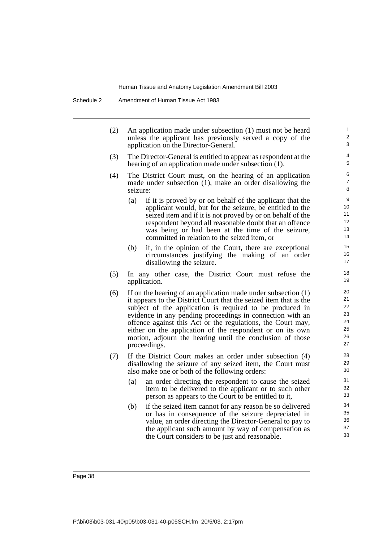(2) An application made under subsection (1) must not be heard unless the applicant has previously served a copy of the application on the Director-General.

- (3) The Director-General is entitled to appear as respondent at the hearing of an application made under subsection (1).
- (4) The District Court must, on the hearing of an application made under subsection (1), make an order disallowing the seizure:
	- (a) if it is proved by or on behalf of the applicant that the applicant would, but for the seizure, be entitled to the seized item and if it is not proved by or on behalf of the respondent beyond all reasonable doubt that an offence was being or had been at the time of the seizure, committed in relation to the seized item, or
	- (b) if, in the opinion of the Court, there are exceptional circumstances justifying the making of an order disallowing the seizure.
- (5) In any other case, the District Court must refuse the application.
- (6) If on the hearing of an application made under subsection (1) it appears to the District Court that the seized item that is the subject of the application is required to be produced in evidence in any pending proceedings in connection with an offence against this Act or the regulations, the Court may, either on the application of the respondent or on its own motion, adjourn the hearing until the conclusion of those proceedings.
- (7) If the District Court makes an order under subsection (4) disallowing the seizure of any seized item, the Court must also make one or both of the following orders:
	- (a) an order directing the respondent to cause the seized item to be delivered to the applicant or to such other person as appears to the Court to be entitled to it,
	- (b) if the seized item cannot for any reason be so delivered or has in consequence of the seizure depreciated in value, an order directing the Director-General to pay to the applicant such amount by way of compensation as the Court considers to be just and reasonable.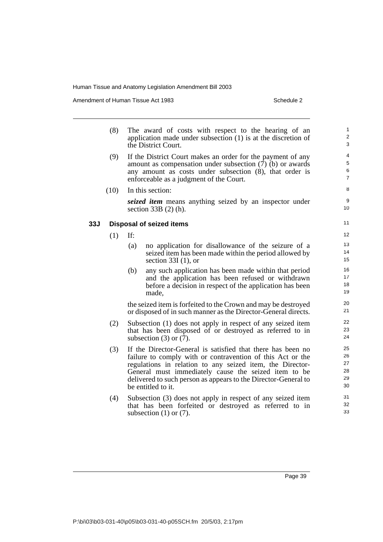Amendment of Human Tissue Act 1983 Schedule 2

- (8) The award of costs with respect to the hearing of an application made under subsection (1) is at the discretion of the District Court. (9) If the District Court makes an order for the payment of any amount as compensation under subsection (7) (b) or awards any amount as costs under subsection (8), that order is enforceable as a judgment of the Court. (10) In this section: *seized item* means anything seized by an inspector under section 33B (2) (h). **33J Disposal of seized items** (1) If: (a) no application for disallowance of the seizure of a seized item has been made within the period allowed by section 33I (1), or (b) any such application has been made within that period and the application has been refused or withdrawn before a decision in respect of the application has been made, the seized item is forfeited to the Crown and may be destroyed or disposed of in such manner as the Director-General directs. (2) Subsection (1) does not apply in respect of any seized item that has been disposed of or destroyed as referred to in subsection (3) or (7). (3) If the Director-General is satisfied that there has been no failure to comply with or contravention of this Act or the
	- regulations in relation to any seized item, the Director-General must immediately cause the seized item to be delivered to such person as appears to the Director-General to be entitled to it.
	- (4) Subsection (3) does not apply in respect of any seized item that has been forfeited or destroyed as referred to in subsection  $(1)$  or  $(7)$ .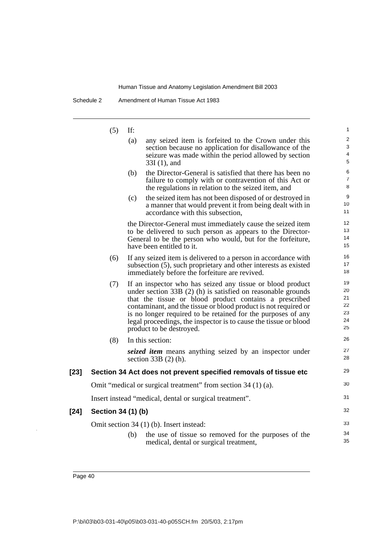Schedule 2 Amendment of Human Tissue Act 1983

(5) If: (a) any seized item is forfeited to the Crown under this section because no application for disallowance of the seizure was made within the period allowed by section 33I (1), and (b) the Director-General is satisfied that there has been no failure to comply with or contravention of this Act or the regulations in relation to the seized item, and (c) the seized item has not been disposed of or destroyed in a manner that would prevent it from being dealt with in accordance with this subsection, the Director-General must immediately cause the seized item to be delivered to such person as appears to the Director-General to be the person who would, but for the forfeiture, have been entitled to it. (6) If any seized item is delivered to a person in accordance with subsection (5), such proprietary and other interests as existed immediately before the forfeiture are revived. (7) If an inspector who has seized any tissue or blood product under section 33B (2) (h) is satisfied on reasonable grounds that the tissue or blood product contains a prescribed contaminant, and the tissue or blood product is not required or is no longer required to be retained for the purposes of any legal proceedings, the inspector is to cause the tissue or blood product to be destroyed. (8) In this section: *seized item* means anything seized by an inspector under section 33B (2) (h). **[23] Section 34 Act does not prevent specified removals of tissue etc** Omit "medical or surgical treatment" from section 34 (1) (a). Insert instead "medical, dental or surgical treatment". **[24] Section 34 (1) (b)** Omit section 34 (1) (b). Insert instead: (b) the use of tissue so removed for the purposes of the medical, dental or surgical treatment, 1 2 3 4 5 6 7 8  $\alpha$ 10 11 12 13 14 15 16 17 18 19 20 21 22 23 24 25 26 27 28 29 30 31 32 33 34 35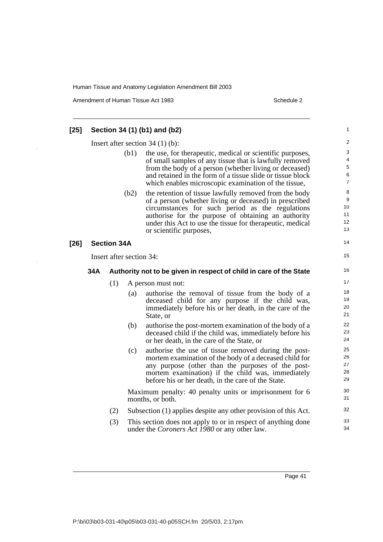Amendment of Human Tissue Act 1983 Schedule 2

J.

| $[25]$ | Section 34 (1) (b1) and (b2)                                                |                                   |                                                                                                                                                                                                                                                                                                                      |                                                                                                                                                                                                                                                                                                      |                                                           |  |  |
|--------|-----------------------------------------------------------------------------|-----------------------------------|----------------------------------------------------------------------------------------------------------------------------------------------------------------------------------------------------------------------------------------------------------------------------------------------------------------------|------------------------------------------------------------------------------------------------------------------------------------------------------------------------------------------------------------------------------------------------------------------------------------------------------|-----------------------------------------------------------|--|--|
|        |                                                                             | Insert after section $34(1)(b)$ : |                                                                                                                                                                                                                                                                                                                      |                                                                                                                                                                                                                                                                                                      |                                                           |  |  |
|        |                                                                             | (b1)                              |                                                                                                                                                                                                                                                                                                                      | the use, for therapeutic, medical or scientific purposes,<br>of small samples of any tissue that is lawfully removed<br>from the body of a person (whether living or deceased)<br>and retained in the form of a tissue slide or tissue block<br>which enables microscopic examination of the tissue, | 3<br>$\overline{4}$<br>$\,$ 5 $\,$<br>6<br>$\overline{7}$ |  |  |
|        |                                                                             |                                   | the retention of tissue lawfully removed from the body<br>of a person (whether living or deceased) in prescribed<br>circumstances for such period as the regulations<br>authorise for the purpose of obtaining an authority<br>under this Act to use the tissue for the rapeutic, medical<br>or scientific purposes, | 8<br>9<br>10<br>11<br>12<br>13                                                                                                                                                                                                                                                                       |                                                           |  |  |
| $[26]$ |                                                                             | <b>Section 34A</b>                |                                                                                                                                                                                                                                                                                                                      |                                                                                                                                                                                                                                                                                                      | 14                                                        |  |  |
|        | Insert after section 34:                                                    |                                   |                                                                                                                                                                                                                                                                                                                      |                                                                                                                                                                                                                                                                                                      |                                                           |  |  |
|        | 34A<br>Authority not to be given in respect of child in care of the State   |                                   |                                                                                                                                                                                                                                                                                                                      |                                                                                                                                                                                                                                                                                                      |                                                           |  |  |
|        |                                                                             | (1)                               |                                                                                                                                                                                                                                                                                                                      | A person must not:                                                                                                                                                                                                                                                                                   | 17                                                        |  |  |
|        |                                                                             |                                   | (a)                                                                                                                                                                                                                                                                                                                  | authorise the removal of tissue from the body of a<br>deceased child for any purpose if the child was,<br>immediately before his or her death, in the care of the<br>State, or                                                                                                                       | 18<br>19<br>20<br>21                                      |  |  |
|        |                                                                             |                                   | (b)                                                                                                                                                                                                                                                                                                                  | authorise the post-mortem examination of the body of a<br>deceased child if the child was, immediately before his<br>or her death, in the care of the State, or                                                                                                                                      | 22<br>23<br>24                                            |  |  |
|        |                                                                             |                                   | (c)                                                                                                                                                                                                                                                                                                                  | authorise the use of tissue removed during the post-<br>mortem examination of the body of a deceased child for<br>any purpose (other than the purposes of the post-<br>mortem examination) if the child was, immediately<br>before his or her death, in the care of the State.                       | 25<br>26<br>27<br>28<br>29                                |  |  |
|        | Maximum penalty: 40 penalty units or imprisonment for 6<br>months, or both. |                                   |                                                                                                                                                                                                                                                                                                                      |                                                                                                                                                                                                                                                                                                      |                                                           |  |  |
|        |                                                                             | (2)                               |                                                                                                                                                                                                                                                                                                                      | Subsection (1) applies despite any other provision of this Act.                                                                                                                                                                                                                                      | 32                                                        |  |  |
|        |                                                                             | (3)                               |                                                                                                                                                                                                                                                                                                                      | This section does not apply to or in respect of anything done<br>under the Coroners Act 1980 or any other law.                                                                                                                                                                                       | 33<br>34                                                  |  |  |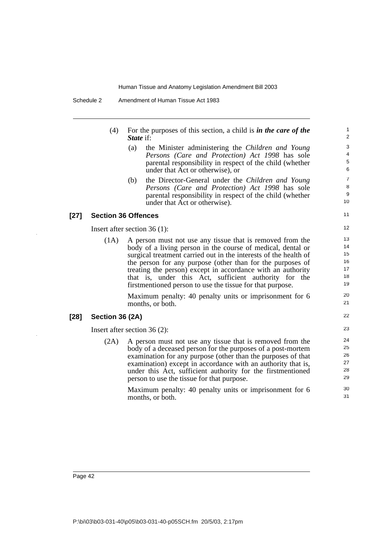|        | (4)             | For the purposes of this section, a child is <i>in the care of the</i><br><i>State</i> if:                                                                                                                                                                                                                                                                                                                                                                                                                                      | $\mathbf{1}$<br>$\overline{\mathbf{c}}$            |
|--------|-----------------|---------------------------------------------------------------------------------------------------------------------------------------------------------------------------------------------------------------------------------------------------------------------------------------------------------------------------------------------------------------------------------------------------------------------------------------------------------------------------------------------------------------------------------|----------------------------------------------------|
|        |                 | (a)<br>the Minister administering the Children and Young<br>Persons (Care and Protection) Act 1998 has sole<br>parental responsibility in respect of the child (whether<br>under that Act or otherwise), or                                                                                                                                                                                                                                                                                                                     | 3<br>4<br>5<br>6                                   |
|        |                 | the Director-General under the Children and Young<br>(b)<br>Persons (Care and Protection) Act 1998 has sole<br>parental responsibility in respect of the child (whether<br>under that Act or otherwise).                                                                                                                                                                                                                                                                                                                        | 7<br>8<br>9<br>10                                  |
| $[27]$ |                 | <b>Section 36 Offences</b>                                                                                                                                                                                                                                                                                                                                                                                                                                                                                                      | 11                                                 |
|        |                 | Insert after section $36(1)$ :                                                                                                                                                                                                                                                                                                                                                                                                                                                                                                  | 12                                                 |
|        | (1A)            | A person must not use any tissue that is removed from the<br>body of a living person in the course of medical, dental or<br>surgical treatment carried out in the interests of the health of<br>the person for any purpose (other than for the purposes of<br>treating the person) except in accordance with an authority<br>that is, under this Act, sufficient authority for the<br>first mentioned person to use the tissue for that purpose.<br>Maximum penalty: 40 penalty units or imprisonment for 6<br>months, or both. | 13<br>14<br>15<br>16<br>17<br>18<br>19<br>20<br>21 |
| $[28]$ | Section 36 (2A) |                                                                                                                                                                                                                                                                                                                                                                                                                                                                                                                                 | 22                                                 |
|        |                 | Insert after section $36(2)$ :                                                                                                                                                                                                                                                                                                                                                                                                                                                                                                  | 23                                                 |
|        | (2A)            | A person must not use any tissue that is removed from the<br>body of a deceased person for the purposes of a post-mortem<br>examination for any purpose (other than the purposes of that<br>examination) except in accordance with an authority that is,<br>under this Act, sufficient authority for the firstmentioned<br>person to use the tissue for that purpose.<br>Maximum penalty: 40 penalty units or imprisonment for 6                                                                                                | 24<br>25<br>26<br>27<br>28<br>29<br>30             |
|        |                 | months, or both.                                                                                                                                                                                                                                                                                                                                                                                                                                                                                                                | 31                                                 |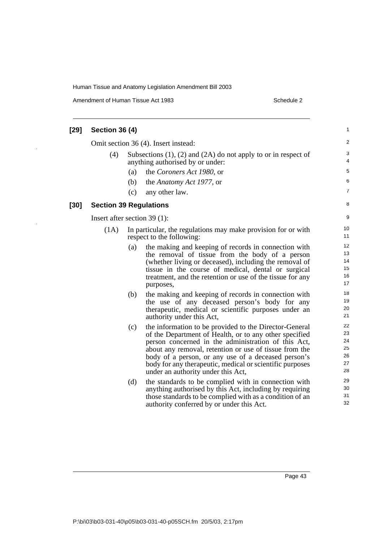Amendment of Human Tissue Act 1983 Schedule 2

#### **[29] Section 36 (4)** Omit section 36 (4). Insert instead: (4) Subsections (1), (2) and (2A) do not apply to or in respect of anything authorised by or under: (a) the *Coroners Act 1980*, or (b) the *Anatomy Act 1977*, or (c) any other law. **[30] Section 39 Regulations** Insert after section 39 (1): (1A) In particular, the regulations may make provision for or with respect to the following: (a) the making and keeping of records in connection with the removal of tissue from the body of a person (whether living or deceased), including the removal of tissue in the course of medical, dental or surgical treatment, and the retention or use of the tissue for any purposes, (b) the making and keeping of records in connection with the use of any deceased person's body for any therapeutic, medical or scientific purposes under an authority under this Act, (c) the information to be provided to the Director-General of the Department of Health, or to any other specified person concerned in the administration of this Act, about any removal, retention or use of tissue from the body of a person, or any use of a deceased person's body for any therapeutic, medical or scientific purposes under an authority under this Act, (d) the standards to be complied with in connection with anything authorised by this Act, including by requiring those standards to be complied with as a condition of an authority conferred by or under this Act. 1  $\overline{2}$ 3 4 5 6 7 8 9 10 11 12 13 14 15 16 17 18 19 20 21 22 23  $24$ 25 26 27 28 29 30 31 32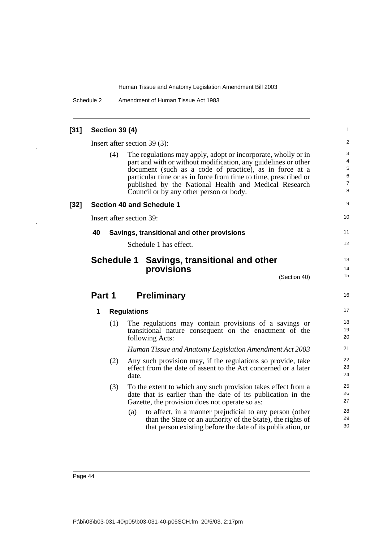Schedule 2 Amendment of Human Tissue Act 1983

| [31]   |        | <b>Section 39 (4)</b> |                                                                                                                                                                                                                                                                                                                                                                   | 1                                       |
|--------|--------|-----------------------|-------------------------------------------------------------------------------------------------------------------------------------------------------------------------------------------------------------------------------------------------------------------------------------------------------------------------------------------------------------------|-----------------------------------------|
|        |        |                       | Insert after section $39(3)$ :                                                                                                                                                                                                                                                                                                                                    | $\overline{c}$                          |
|        |        | (4)                   | The regulations may apply, adopt or incorporate, wholly or in<br>part and with or without modification, any guidelines or other<br>document (such as a code of practice), as in force at a<br>particular time or as in force from time to time, prescribed or<br>published by the National Health and Medical Research<br>Council or by any other person or body. | 3<br>4<br>5<br>6<br>$\overline{7}$<br>8 |
| $[32]$ |        |                       | Section 40 and Schedule 1                                                                                                                                                                                                                                                                                                                                         | 9                                       |
|        |        |                       | Insert after section 39:                                                                                                                                                                                                                                                                                                                                          | 10                                      |
|        | 40     |                       | Savings, transitional and other provisions                                                                                                                                                                                                                                                                                                                        | 11                                      |
|        |        |                       | Schedule 1 has effect.                                                                                                                                                                                                                                                                                                                                            | 12                                      |
|        |        | <b>Schedule 1</b>     | Savings, transitional and other<br>provisions<br>(Section 40)                                                                                                                                                                                                                                                                                                     | 13<br>14<br>15                          |
|        | Part 1 |                       | <b>Preliminary</b>                                                                                                                                                                                                                                                                                                                                                | 16                                      |
|        | 1      |                       | <b>Regulations</b>                                                                                                                                                                                                                                                                                                                                                | 17                                      |
|        |        | (1)                   | The regulations may contain provisions of a savings or<br>transitional nature consequent on the enactment of the<br>following Acts:                                                                                                                                                                                                                               | 18<br>19<br>20                          |
|        |        |                       | Human Tissue and Anatomy Legislation Amendment Act 2003                                                                                                                                                                                                                                                                                                           | 21                                      |
|        |        | (2)                   | Any such provision may, if the regulations so provide, take<br>effect from the date of assent to the Act concerned or a later<br>date.                                                                                                                                                                                                                            | 22<br>23<br>24                          |
|        |        | (3)                   | To the extent to which any such provision takes effect from a<br>date that is earlier than the date of its publication in the<br>Gazette, the provision does not operate so as:                                                                                                                                                                                   | 25<br>26<br>27                          |
|        |        |                       | to affect, in a manner prejudicial to any person (other<br>(a)<br>than the State or an authority of the State), the rights of<br>that person existing before the date of its publication, or                                                                                                                                                                      | 28<br>29<br>30                          |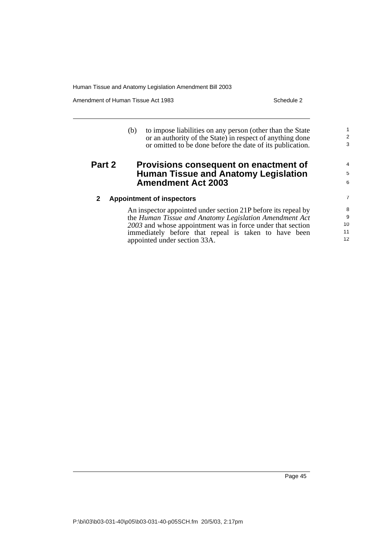Amendment of Human Tissue Act 1983 Schedule 2

1 2 3

4 5 6

| to impose liabilities on any person (other than the State |
|-----------------------------------------------------------|
| or an authority of the State) in respect of anything done |
| or omitted to be done before the date of its publication. |
|                                                           |

## **Part 2 Provisions consequent on enactment of Human Tissue and Anatomy Legislation Amendment Act 2003**

### **2 Appointment of inspectors**

An inspector appointed under section 21P before its repeal by the *Human Tissue and Anatomy Legislation Amendment Act 2003* and whose appointment was in force under that section immediately before that repeal is taken to have been appointed under section 33A.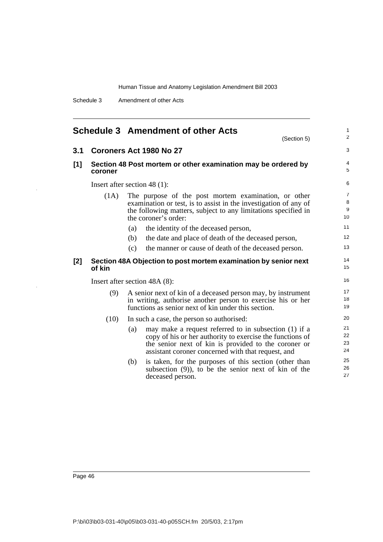<span id="page-57-0"></span>

|       |                                                                           | <b>Schedule 3 Amendment of other Acts</b><br>(Section 5)                                                                                                                                                                                | $\mathbf{1}$<br>2                             |  |  |  |
|-------|---------------------------------------------------------------------------|-----------------------------------------------------------------------------------------------------------------------------------------------------------------------------------------------------------------------------------------|-----------------------------------------------|--|--|--|
| 3.1   |                                                                           | <b>Coroners Act 1980 No 27</b>                                                                                                                                                                                                          | 3                                             |  |  |  |
| [1]   | coroner                                                                   | Section 48 Post mortem or other examination may be ordered by                                                                                                                                                                           | 4<br>5                                        |  |  |  |
|       |                                                                           | Insert after section 48 $(1)$ :                                                                                                                                                                                                         | 6                                             |  |  |  |
|       | (1A)                                                                      | The purpose of the post mortem examination, or other<br>examination or test, is to assist in the investigation of any of<br>the following matters, subject to any limitations specified in<br>the coroner's order:                      | $\overline{7}$<br>8<br>$\boldsymbol{9}$<br>10 |  |  |  |
|       |                                                                           | the identity of the deceased person,<br>(a)                                                                                                                                                                                             | 11                                            |  |  |  |
|       |                                                                           | the date and place of death of the deceased person,<br>(b)                                                                                                                                                                              | 12                                            |  |  |  |
|       |                                                                           | the manner or cause of death of the deceased person.<br>(c)                                                                                                                                                                             | 13                                            |  |  |  |
| $[2]$ | Section 48A Objection to post mortem examination by senior next<br>of kin |                                                                                                                                                                                                                                         |                                               |  |  |  |
|       |                                                                           | Insert after section 48A (8):                                                                                                                                                                                                           | 16                                            |  |  |  |
|       | (9)                                                                       | A senior next of kin of a deceased person may, by instrument<br>in writing, authorise another person to exercise his or her<br>functions as senior next of kin under this section.                                                      | 17<br>18<br>19                                |  |  |  |
|       | (10)                                                                      | In such a case, the person so authorised:                                                                                                                                                                                               | 20                                            |  |  |  |
|       |                                                                           | may make a request referred to in subsection (1) if a<br>(a)<br>copy of his or her authority to exercise the functions of<br>the senior next of kin is provided to the coroner or<br>assistant coroner concerned with that request, and | 21<br>22<br>23<br>24                          |  |  |  |
|       |                                                                           | is taken, for the purposes of this section (other than<br>(b)<br>subsection $(9)$ , to be the senior next of kin of the<br>deceased person.                                                                                             | 25<br>26<br>27                                |  |  |  |

Page 46

J.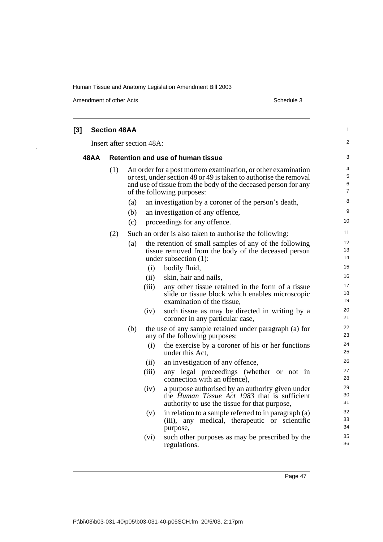Amendment of other Acts Schedule 3

| $[3]$ |                           | <b>Section 48AA</b> |     |       |                                                                                                                                                                                                                                   | 1                                  |
|-------|---------------------------|---------------------|-----|-------|-----------------------------------------------------------------------------------------------------------------------------------------------------------------------------------------------------------------------------------|------------------------------------|
|       | Insert after section 48A: |                     |     |       |                                                                                                                                                                                                                                   |                                    |
|       | 48AA                      |                     |     |       | Retention and use of human tissue                                                                                                                                                                                                 | 3                                  |
|       |                           | (1)                 |     |       | An order for a post mortem examination, or other examination<br>or test, under section 48 or 49 is taken to authorise the removal<br>and use of tissue from the body of the deceased person for any<br>of the following purposes: | 4<br>5<br>6<br>$\overline{7}$<br>8 |
|       |                           |                     | (a) |       | an investigation by a coroner of the person's death,                                                                                                                                                                              |                                    |
|       |                           |                     | (b) |       | an investigation of any offence,                                                                                                                                                                                                  | 9                                  |
|       |                           |                     | (c) |       | proceedings for any offence.                                                                                                                                                                                                      | 10                                 |
|       |                           | (2)                 |     |       | Such an order is also taken to authorise the following:                                                                                                                                                                           | 11                                 |
|       |                           |                     | (a) |       | the retention of small samples of any of the following<br>tissue removed from the body of the deceased person<br>under subsection $(1)$ :                                                                                         | 12<br>13<br>14                     |
|       |                           |                     |     | (i)   | bodily fluid,                                                                                                                                                                                                                     | 15                                 |
|       |                           |                     |     | (ii)  | skin, hair and nails,                                                                                                                                                                                                             | 16                                 |
|       |                           |                     |     | (iii) | any other tissue retained in the form of a tissue<br>slide or tissue block which enables microscopic<br>examination of the tissue,                                                                                                | 17<br>18<br>19                     |
|       |                           |                     |     | (iv)  | such tissue as may be directed in writing by a<br>coroner in any particular case,                                                                                                                                                 | 20<br>21                           |
|       |                           |                     | (b) |       | the use of any sample retained under paragraph (a) for<br>any of the following purposes:                                                                                                                                          | 22<br>23                           |
|       |                           |                     |     | (i)   | the exercise by a coroner of his or her functions<br>under this Act,                                                                                                                                                              | 24<br>25                           |
|       |                           |                     |     | (ii)  | an investigation of any offence,                                                                                                                                                                                                  | 26                                 |
|       |                           |                     |     | (iii) | any legal proceedings (whether or not in<br>connection with an offence),                                                                                                                                                          | 27<br>28                           |
|       |                           |                     |     | (iv)  | a purpose authorised by an authority given under<br>the <i>Human Tissue Act 1983</i> that is sufficient<br>authority to use the tissue for that purpose,                                                                          | 29<br>30<br>31                     |
|       |                           |                     |     | (v)   | in relation to a sample referred to in paragraph (a)<br>(iii), any medical, therapeutic or scientific<br>purpose,                                                                                                                 | 32<br>33<br>34                     |
|       |                           |                     |     | (vi)  | such other purposes as may be prescribed by the<br>regulations.                                                                                                                                                                   | 35<br>36                           |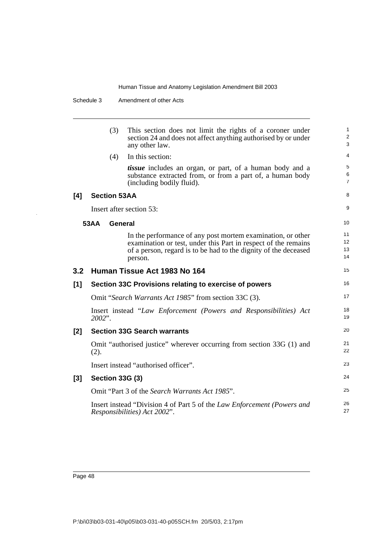|                               | (3)                    | This section does not limit the rights of a coroner under<br>section 24 and does not affect anything authorised by or under<br>any other law.                                                               | $\mathbf{1}$<br>$\overline{2}$<br>3 |  |
|-------------------------------|------------------------|-------------------------------------------------------------------------------------------------------------------------------------------------------------------------------------------------------------|-------------------------------------|--|
|                               | (4)                    | In this section:                                                                                                                                                                                            | 4                                   |  |
|                               |                        | <i>tissue</i> includes an organ, or part, of a human body and a<br>substance extracted from, or from a part of, a human body<br>(including bodily fluid).                                                   | 5<br>6<br>$\overline{7}$            |  |
| [4]                           | <b>Section 53AA</b>    |                                                                                                                                                                                                             | 8                                   |  |
|                               |                        | Insert after section 53:                                                                                                                                                                                    | 9                                   |  |
| <b>53AA</b><br><b>General</b> |                        |                                                                                                                                                                                                             |                                     |  |
|                               |                        | In the performance of any post mortem examination, or other<br>examination or test, under this Part in respect of the remains<br>of a person, regard is to be had to the dignity of the deceased<br>person. | 11<br>12<br>13<br>14                |  |
| 3.2                           |                        | Human Tissue Act 1983 No 164                                                                                                                                                                                | 15                                  |  |
| [1]                           |                        | Section 33C Provisions relating to exercise of powers                                                                                                                                                       | 16                                  |  |
|                               |                        | Omit "Search Warrants Act 1985" from section 33C (3).                                                                                                                                                       | 17                                  |  |
|                               | 2002".                 | Insert instead "Law Enforcement (Powers and Responsibilities) Act                                                                                                                                           | 18<br>19                            |  |
| [2]                           |                        | <b>Section 33G Search warrants</b>                                                                                                                                                                          | 20                                  |  |
|                               | (2).                   | Omit "authorised justice" wherever occurring from section 33G (1) and                                                                                                                                       | 21<br>22                            |  |
|                               |                        | Insert instead "authorised officer".                                                                                                                                                                        | 23                                  |  |
| $[3]$                         | <b>Section 33G (3)</b> |                                                                                                                                                                                                             | 24                                  |  |
|                               |                        | Omit "Part 3 of the Search Warrants Act 1985".                                                                                                                                                              | 25                                  |  |
|                               |                        | Insert instead "Division 4 of Part 5 of the Law Enforcement (Powers and<br>Responsibilities) Act 2002".                                                                                                     | 26<br>27                            |  |
|                               |                        |                                                                                                                                                                                                             |                                     |  |